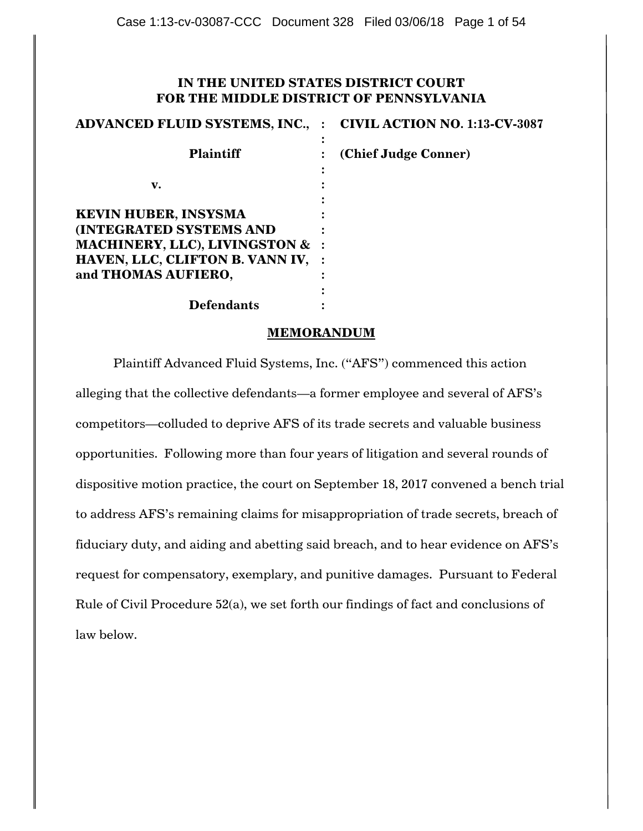## **IN THE UNITED STATES DISTRICT COURT FOR THE MIDDLE DISTRICT OF PENNSYLVANIA**

| <b>ADVANCED FLUID SYSTEMS, INC.,</b>       | <b>CIVIL ACTION NO. 1:13-CV-3087</b> |
|--------------------------------------------|--------------------------------------|
| <b>Plaintiff</b>                           | (Chief Judge Conner)                 |
| v.                                         |                                      |
| <b>KEVIN HUBER, INSYSMA</b>                |                                      |
| <b>(INTEGRATED SYSTEMS AND</b>             |                                      |
| <b>MACHINERY, LLC), LIVINGSTON &amp; :</b> |                                      |
| HAVEN, LLC, CLIFTON B. VANN IV,            |                                      |
| and THOMAS AUFIERO,                        |                                      |
|                                            |                                      |
| Defendants                                 |                                      |

### **MEMORANDUM**

Plaintiff Advanced Fluid Systems, Inc. ("AFS") commenced this action alleging that the collective defendants—a former employee and several of AFS"s competitors—colluded to deprive AFS of its trade secrets and valuable business opportunities. Following more than four years of litigation and several rounds of dispositive motion practice, the court on September 18, 2017 convened a bench trial to address AFS"s remaining claims for misappropriation of trade secrets, breach of fiduciary duty, and aiding and abetting said breach, and to hear evidence on AFS"s request for compensatory, exemplary, and punitive damages. Pursuant to Federal Rule of Civil Procedure 52(a), we set forth our findings of fact and conclusions of law below.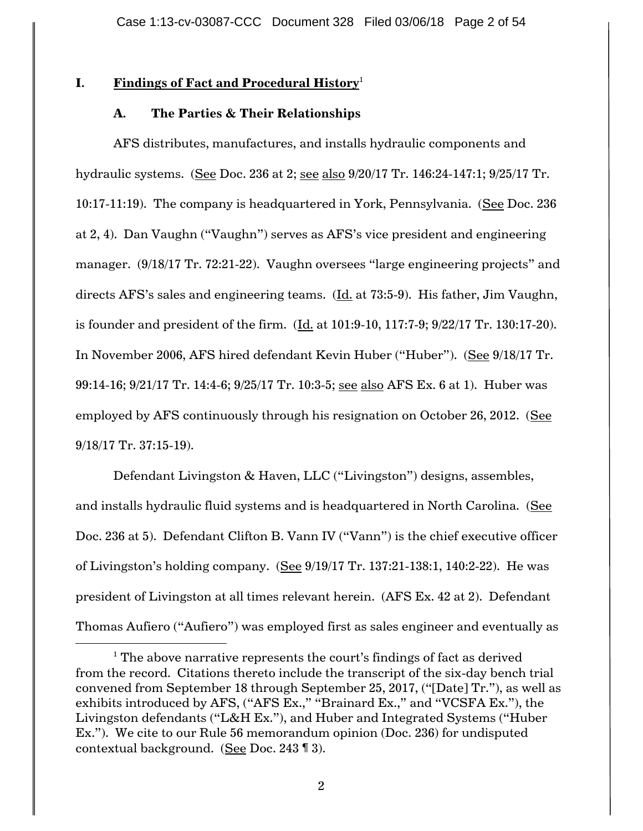# **I. Findings of Fact and Procedural History**<sup>1</sup>

# **A. The Parties & Their Relationships**

AFS distributes, manufactures, and installs hydraulic components and hydraulic systems. (See Doc. 236 at 2; see also 9/20/17 Tr. 146:24-147:1; 9/25/17 Tr. 10:17-11:19). The company is headquartered in York, Pennsylvania. (See Doc. 236 at 2, 4). Dan Vaughn ("Vaughn") serves as AFS"s vice president and engineering manager. (9/18/17 Tr. 72:21-22). Vaughn oversees "large engineering projects" and directs AFS"s sales and engineering teams. (Id. at 73:5-9). His father, Jim Vaughn, is founder and president of the firm. (Id. at 101:9-10, 117:7-9; 9/22/17 Tr. 130:17-20). In November 2006, AFS hired defendant Kevin Huber ("Huber"). (See 9/18/17 Tr. 99:14-16; 9/21/17 Tr. 14:4-6; 9/25/17 Tr. 10:3-5; see also AFS Ex. 6 at 1). Huber was employed by AFS continuously through his resignation on October 26, 2012. (See 9/18/17 Tr. 37:15-19).

Defendant Livingston & Haven, LLC ("Livingston") designs, assembles, and installs hydraulic fluid systems and is headquartered in North Carolina. (See Doc. 236 at 5). Defendant Clifton B. Vann IV ("Vann") is the chief executive officer of Livingston"s holding company. (See 9/19/17 Tr. 137:21-138:1, 140:2-22). He was president of Livingston at all times relevant herein. (AFS Ex. 42 at 2). Defendant Thomas Aufiero ("Aufiero") was employed first as sales engineer and eventually as

 $\overline{a}$ 

 $1$  The above narrative represents the court's findings of fact as derived from the record. Citations thereto include the transcript of the six-day bench trial convened from September 18 through September 25, 2017, ("[Date] Tr."), as well as exhibits introduced by AFS, ("AFS Ex.," "Brainard Ex.," and "VCSFA Ex."), the Livingston defendants ("L&H Ex."), and Huber and Integrated Systems ("Huber Ex."). We cite to our Rule 56 memorandum opinion (Doc. 236) for undisputed contextual background. (See Doc. 243 ¶ 3).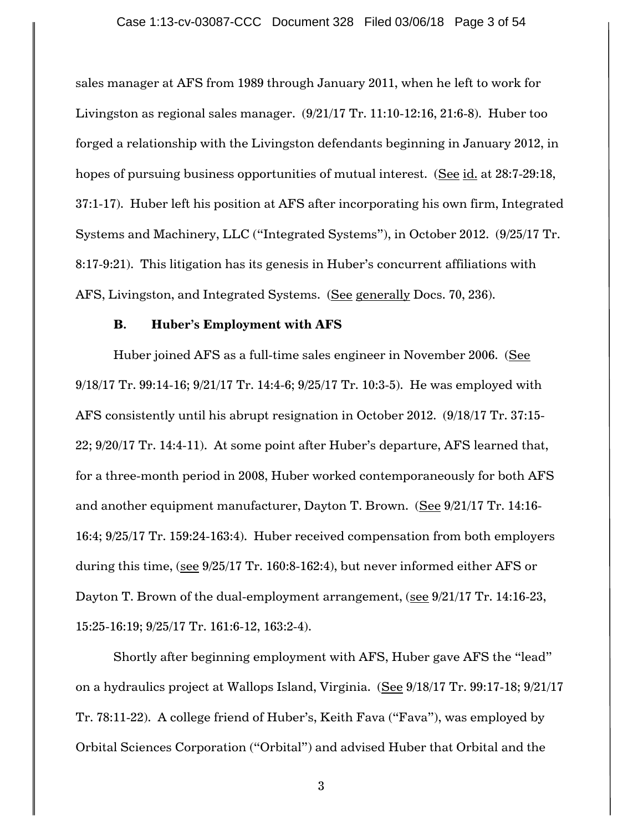sales manager at AFS from 1989 through January 2011, when he left to work for Livingston as regional sales manager.  $(9/21/17$  Tr. 11:10-12:16, 21:6-8). Huber too forged a relationship with the Livingston defendants beginning in January 2012, in hopes of pursuing business opportunities of mutual interest. (See id. at 28:7-29:18, 37:1-17). Huber left his position at AFS after incorporating his own firm, Integrated Systems and Machinery, LLC ("Integrated Systems"), in October 2012. (9/25/17 Tr. 8:17-9:21). This litigation has its genesis in Huber"s concurrent affiliations with AFS, Livingston, and Integrated Systems. (See generally Docs. 70, 236).

#### **B. Huber's Employment with AFS**

Huber joined AFS as a full-time sales engineer in November 2006. (See 9/18/17 Tr. 99:14-16; 9/21/17 Tr. 14:4-6; 9/25/17 Tr. 10:3-5). He was employed with AFS consistently until his abrupt resignation in October 2012. (9/18/17 Tr. 37:15- 22; 9/20/17 Tr. 14:4-11). At some point after Huber"s departure, AFS learned that, for a three-month period in 2008, Huber worked contemporaneously for both AFS and another equipment manufacturer, Dayton T. Brown. (See 9/21/17 Tr. 14:16-16:4; 9/25/17 Tr. 159:24-163:4). Huber received compensation from both employers during this time, (see 9/25/17 Tr. 160:8-162:4), but never informed either AFS or Dayton T. Brown of the dual-employment arrangement, (see 9/21/17 Tr. 14:16-23, 15:25-16:19; 9/25/17 Tr. 161:6-12, 163:2-4).

Shortly after beginning employment with AFS, Huber gave AFS the "lead" on a hydraulics project at Wallops Island, Virginia. (See 9/18/17 Tr. 99:17-18; 9/21/17 Tr. 78:11-22). A college friend of Huber"s, Keith Fava ("Fava"), was employed by Orbital Sciences Corporation ("Orbital") and advised Huber that Orbital and the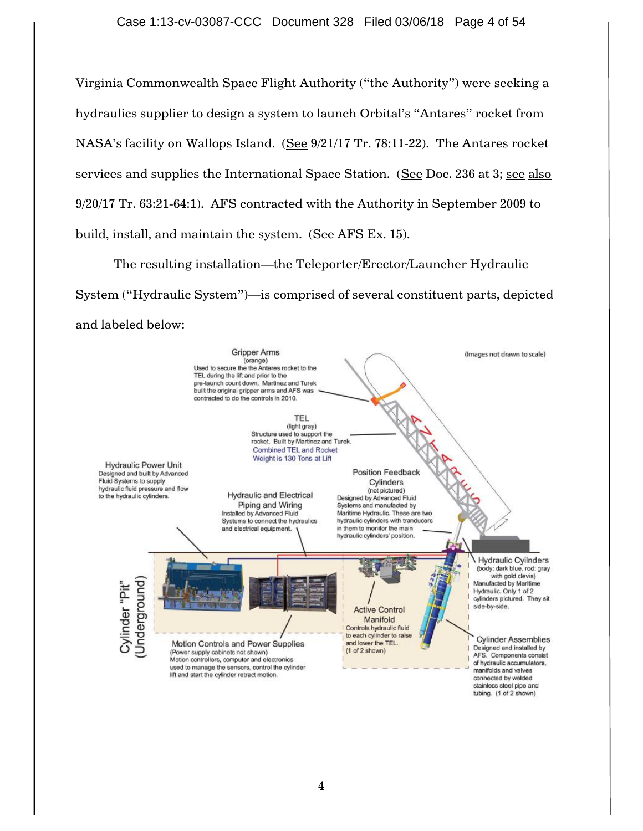Virginia Commonwealth Space Flight Authority ("the Authority") were seeking a hydraulics supplier to design a system to launch Orbital's "Antares" rocket from NASA's facility on Wallops Island. (See 9/21/17 Tr. 78:11-22). The Antares rocket services and supplies the International Space Station. (See Doc. 236 at 3; see also 9/20/17 Tr. 63:21-64:1). AFS contracted with the Authority in September 2009 to build, install, and maintain the system. (See AFS Ex. 15).

The resulting installation—the Teleporter/Erector/Launcher Hydraulic System ("Hydraulic System")—is comprised of several constituent parts, depicted and labeled below:

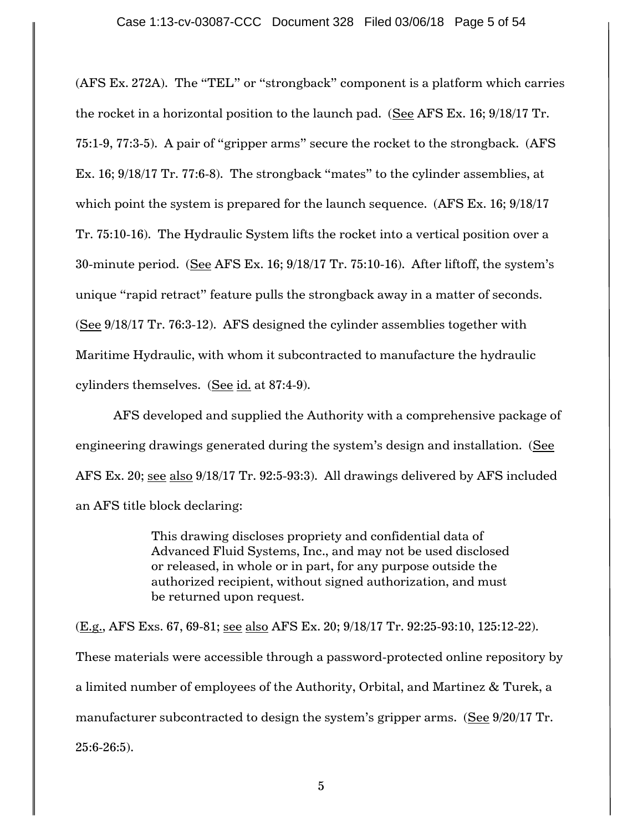(AFS Ex. 272A). The "TEL" or "strongback" component is a platform which carries the rocket in a horizontal position to the launch pad. (See AFS Ex. 16; 9/18/17 Tr. 75:1-9, 77:3-5). A pair of "gripper arms" secure the rocket to the strongback. (AFS Ex. 16; 9/18/17 Tr. 77:6-8). The strongback "mates" to the cylinder assemblies, at which point the system is prepared for the launch sequence. (AFS Ex. 16; 9/18/17) Tr. 75:10-16). The Hydraulic System lifts the rocket into a vertical position over a 30-minute period. (See AFS Ex. 16; 9/18/17 Tr. 75:10-16). After liftoff, the system"s unique "rapid retract" feature pulls the strongback away in a matter of seconds. (See 9/18/17 Tr. 76:3-12). AFS designed the cylinder assemblies together with Maritime Hydraulic, with whom it subcontracted to manufacture the hydraulic cylinders themselves. (See id. at 87:4-9).

AFS developed and supplied the Authority with a comprehensive package of engineering drawings generated during the system"s design and installation. (See AFS Ex. 20; see also 9/18/17 Tr. 92:5-93:3). All drawings delivered by AFS included an AFS title block declaring:

> This drawing discloses propriety and confidential data of Advanced Fluid Systems, Inc., and may not be used disclosed or released, in whole or in part, for any purpose outside the authorized recipient, without signed authorization, and must be returned upon request.

(E.g., AFS Exs. 67, 69-81; see also AFS Ex. 20; 9/18/17 Tr. 92:25-93:10, 125:12-22). These materials were accessible through a password-protected online repository by a limited number of employees of the Authority, Orbital, and Martinez & Turek, a manufacturer subcontracted to design the system"s gripper arms. (See 9/20/17 Tr. 25:6-26:5).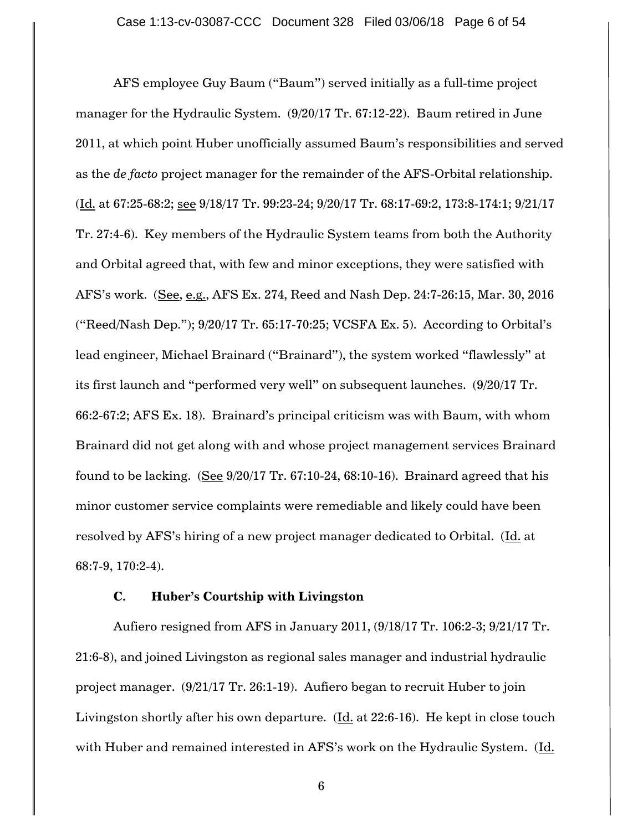AFS employee Guy Baum ("Baum") served initially as a full-time project manager for the Hydraulic System. (9/20/17 Tr. 67:12-22). Baum retired in June 2011, at which point Huber unofficially assumed Baum"s responsibilities and served as the *de facto* project manager for the remainder of the AFS-Orbital relationship. (Id. at 67:25-68:2; see 9/18/17 Tr. 99:23-24; 9/20/17 Tr. 68:17-69:2, 173:8-174:1; 9/21/17 Tr. 27:4-6). Key members of the Hydraulic System teams from both the Authority and Orbital agreed that, with few and minor exceptions, they were satisfied with AFS"s work. (See, e.g., AFS Ex. 274, Reed and Nash Dep. 24:7-26:15, Mar. 30, 2016 ("Reed/Nash Dep."); 9/20/17 Tr. 65:17-70:25; VCSFA Ex. 5). According to Orbital"s lead engineer, Michael Brainard ("Brainard"), the system worked "flawlessly" at its first launch and "performed very well" on subsequent launches. (9/20/17 Tr. 66:2-67:2; AFS Ex. 18). Brainard"s principal criticism was with Baum, with whom Brainard did not get along with and whose project management services Brainard found to be lacking.  $(See 9/20/17$  Tr.  $67:10-24, 68:10-16)$ . Brainard agreed that his minor customer service complaints were remediable and likely could have been resolved by AFS's hiring of a new project manager dedicated to Orbital. (Id. at 68:7-9, 170:2-4).

### **C. Huber's Courtship with Livingston**

Aufiero resigned from AFS in January 2011, (9/18/17 Tr. 106:2-3; 9/21/17 Tr. 21:6-8), and joined Livingston as regional sales manager and industrial hydraulic project manager. (9/21/17 Tr. 26:1-19). Aufiero began to recruit Huber to join Livingston shortly after his own departure. (Id. at 22:6-16). He kept in close touch with Huber and remained interested in AFS's work on the Hydraulic System. (Id.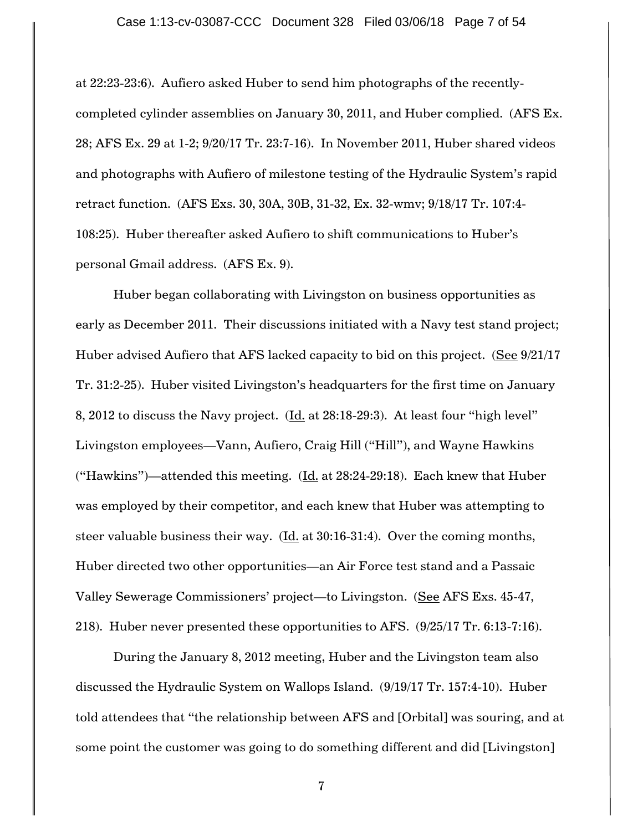#### Case 1:13-cv-03087-CCC Document 328 Filed 03/06/18 Page 7 of 54

at 22:23-23:6). Aufiero asked Huber to send him photographs of the recentlycompleted cylinder assemblies on January 30, 2011, and Huber complied. (AFS Ex. 28; AFS Ex. 29 at 1-2; 9/20/17 Tr. 23:7-16). In November 2011, Huber shared videos and photographs with Aufiero of milestone testing of the Hydraulic System's rapid retract function. (AFS Exs. 30, 30A, 30B, 31-32, Ex. 32-wmv; 9/18/17 Tr. 107:4- 108:25). Huber thereafter asked Aufiero to shift communications to Huber"s personal Gmail address. (AFS Ex. 9).

Huber began collaborating with Livingston on business opportunities as early as December 2011. Their discussions initiated with a Navy test stand project; Huber advised Aufiero that AFS lacked capacity to bid on this project. (See 9/21/17 Tr. 31:2-25). Huber visited Livingston's headquarters for the first time on January 8, 2012 to discuss the Navy project. (Id. at 28:18-29:3). At least four "high level" Livingston employees—Vann, Aufiero, Craig Hill ("Hill"), and Wayne Hawkins ("Hawkins")—attended this meeting. (Id. at 28:24-29:18). Each knew that Huber was employed by their competitor, and each knew that Huber was attempting to steer valuable business their way.  $(\underline{Id.}$  at 30:16-31:4). Over the coming months, Huber directed two other opportunities—an Air Force test stand and a Passaic Valley Sewerage Commissioners" project—to Livingston. (See AFS Exs. 45-47, 218). Huber never presented these opportunities to AFS. (9/25/17 Tr. 6:13-7:16).

During the January 8, 2012 meeting, Huber and the Livingston team also discussed the Hydraulic System on Wallops Island. (9/19/17 Tr. 157:4-10). Huber told attendees that "the relationship between AFS and [Orbital] was souring, and at some point the customer was going to do something different and did [Livingston]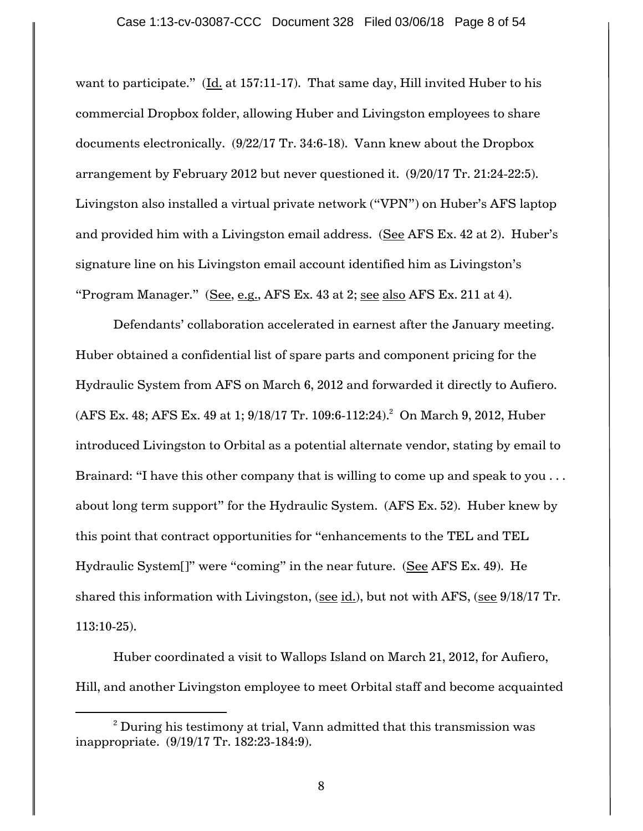want to participate." (Id. at 157:11-17). That same day, Hill invited Huber to his commercial Dropbox folder, allowing Huber and Livingston employees to share documents electronically. (9/22/17 Tr. 34:6-18). Vann knew about the Dropbox arrangement by February 2012 but never questioned it. (9/20/17 Tr. 21:24-22:5). Livingston also installed a virtual private network ("VPN") on Huber's AFS laptop and provided him with a Livingston email address. (See AFS Ex. 42 at 2). Huber's signature line on his Livingston email account identified him as Livingston's "Program Manager." (See, e.g., AFS Ex. 43 at 2; see also AFS Ex. 211 at 4).

Defendants' collaboration accelerated in earnest after the January meeting. Huber obtained a confidential list of spare parts and component pricing for the Hydraulic System from AFS on March 6, 2012 and forwarded it directly to Aufiero. (AFS Ex. 48; AFS Ex. 49 at 1; 9/18/17 Tr. 109:6-112:24).<sup>2</sup> On March 9, 2012, Huber introduced Livingston to Orbital as a potential alternate vendor, stating by email to Brainard: "I have this other company that is willing to come up and speak to you ... about long term support" for the Hydraulic System. (AFS Ex. 52). Huber knew by this point that contract opportunities for "enhancements to the TEL and TEL Hydraulic System[]" were "coming" in the near future. (See AFS Ex. 49). He shared this information with Livingston, (see id.), but not with AFS, (see 9/18/17 Tr. 113:10-25).

Huber coordinated a visit to Wallops Island on March 21, 2012, for Aufiero, Hill, and another Livingston employee to meet Orbital staff and become acquainted

 $\overline{a}$ 

 $2$  During his testimony at trial, Vann admitted that this transmission was inappropriate. (9/19/17 Tr. 182:23-184:9).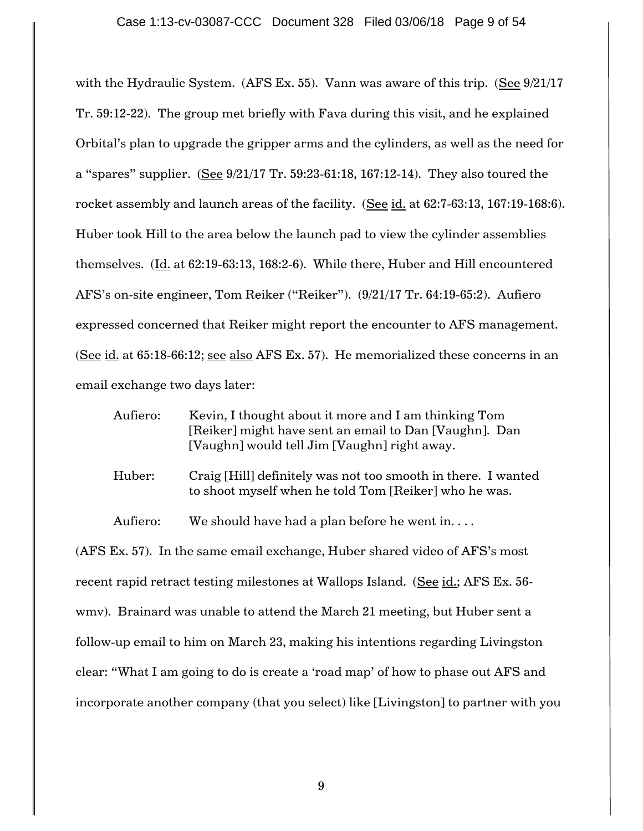with the Hydraulic System. (AFS Ex. 55). Vann was aware of this trip. (See 9/21/17 Tr. 59:12-22). The group met briefly with Fava during this visit, and he explained Orbital"s plan to upgrade the gripper arms and the cylinders, as well as the need for a "spares" supplier. (See 9/21/17 Tr. 59:23-61:18, 167:12-14). They also toured the rocket assembly and launch areas of the facility. (See id. at 62:7-63:13, 167:19-168:6). Huber took Hill to the area below the launch pad to view the cylinder assemblies themselves.  $(\underline{Id.}$  at 62:19-63:13, 168:2-6). While there, Huber and Hill encountered AFS"s on-site engineer, Tom Reiker ("Reiker"). (9/21/17 Tr. 64:19-65:2). Aufiero expressed concerned that Reiker might report the encounter to AFS management. (See id. at 65:18-66:12; see also AFS Ex. 57). He memorialized these concerns in an email exchange two days later:

| Aufiero: | Kevin, I thought about it more and I am thinking Tom   |
|----------|--------------------------------------------------------|
|          | [Reiker] might have sent an email to Dan [Vaughn]. Dan |
|          | [Vaughn] would tell Jim [Vaughn] right away.           |

Huber: Craig [Hill] definitely was not too smooth in there. I wanted to shoot myself when he told Tom [Reiker] who he was.

Aufiero: We should have had a plan before he went in....

(AFS Ex. 57). In the same email exchange, Huber shared video of AFS"s most recent rapid retract testing milestones at Wallops Island. (See id.; AFS Ex. 56 wmv). Brainard was unable to attend the March 21 meeting, but Huber sent a follow-up email to him on March 23, making his intentions regarding Livingston clear: "What I am going to do is create a "road map" of how to phase out AFS and incorporate another company (that you select) like [Livingston] to partner with you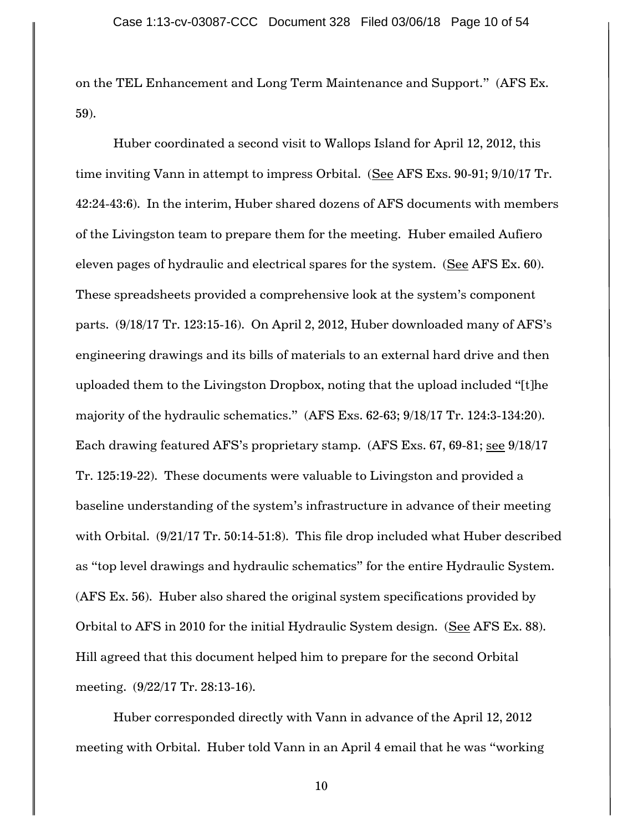on the TEL Enhancement and Long Term Maintenance and Support." (AFS Ex. 59).

Huber coordinated a second visit to Wallops Island for April 12, 2012, this time inviting Vann in attempt to impress Orbital. (See AFS Exs. 90-91; 9/10/17 Tr. 42:24-43:6). In the interim, Huber shared dozens of AFS documents with members of the Livingston team to prepare them for the meeting. Huber emailed Aufiero eleven pages of hydraulic and electrical spares for the system. (See AFS Ex. 60). These spreadsheets provided a comprehensive look at the system's component parts. (9/18/17 Tr. 123:15-16). On April 2, 2012, Huber downloaded many of AFS"s engineering drawings and its bills of materials to an external hard drive and then uploaded them to the Livingston Dropbox, noting that the upload included "[t]he majority of the hydraulic schematics." (AFS Exs. 62-63; 9/18/17 Tr. 124:3-134:20). Each drawing featured AFS"s proprietary stamp. (AFS Exs. 67, 69-81; see 9/18/17 Tr. 125:19-22). These documents were valuable to Livingston and provided a baseline understanding of the system"s infrastructure in advance of their meeting with Orbital. (9/21/17 Tr. 50:14-51:8). This file drop included what Huber described as "top level drawings and hydraulic schematics" for the entire Hydraulic System. (AFS Ex. 56). Huber also shared the original system specifications provided by Orbital to AFS in 2010 for the initial Hydraulic System design. (See AFS Ex. 88). Hill agreed that this document helped him to prepare for the second Orbital meeting. (9/22/17 Tr. 28:13-16).

Huber corresponded directly with Vann in advance of the April 12, 2012 meeting with Orbital. Huber told Vann in an April 4 email that he was "working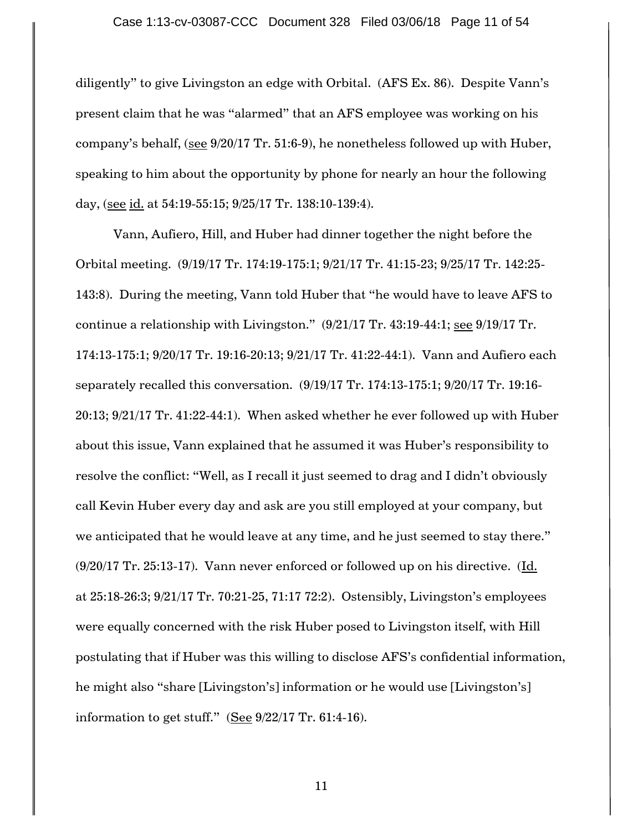diligently" to give Livingston an edge with Orbital. (AFS Ex. 86). Despite Vann"s present claim that he was "alarmed" that an AFS employee was working on his company"s behalf, (see 9/20/17 Tr. 51:6-9), he nonetheless followed up with Huber, speaking to him about the opportunity by phone for nearly an hour the following day, (see id. at 54:19-55:15; 9/25/17 Tr. 138:10-139:4).

Vann, Aufiero, Hill, and Huber had dinner together the night before the Orbital meeting. (9/19/17 Tr. 174:19-175:1; 9/21/17 Tr. 41:15-23; 9/25/17 Tr. 142:25- 143:8). During the meeting, Vann told Huber that "he would have to leave AFS to continue a relationship with Livingston."  $(9/21/17 \text{ Tr. } 43:19-44:1; \text{ see } 9/19/17 \text{ Tr. }$ 174:13-175:1; 9/20/17 Tr. 19:16-20:13; 9/21/17 Tr. 41:22-44:1). Vann and Aufiero each separately recalled this conversation. (9/19/17 Tr. 174:13-175:1; 9/20/17 Tr. 19:16- 20:13; 9/21/17 Tr. 41:22-44:1). When asked whether he ever followed up with Huber about this issue, Vann explained that he assumed it was Huber"s responsibility to resolve the conflict: "Well, as I recall it just seemed to drag and I didn"t obviously call Kevin Huber every day and ask are you still employed at your company, but we anticipated that he would leave at any time, and he just seemed to stay there." (9/20/17 Tr. 25:13-17). Vann never enforced or followed up on his directive. (Id. at 25:18-26:3; 9/21/17 Tr. 70:21-25, 71:17 72:2). Ostensibly, Livingston"s employees were equally concerned with the risk Huber posed to Livingston itself, with Hill postulating that if Huber was this willing to disclose AFS"s confidential information, he might also "share [Livingston's] information or he would use [Livingston's] information to get stuff." (See  $9/22/17$  Tr. 61:4-16).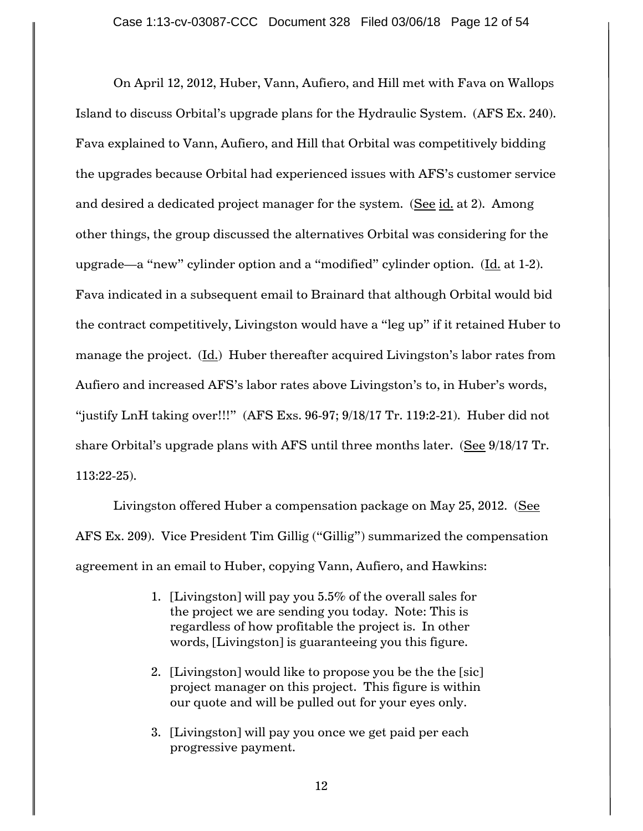On April 12, 2012, Huber, Vann, Aufiero, and Hill met with Fava on Wallops Island to discuss Orbital"s upgrade plans for the Hydraulic System. (AFS Ex. 240). Fava explained to Vann, Aufiero, and Hill that Orbital was competitively bidding the upgrades because Orbital had experienced issues with AFS"s customer service and desired a dedicated project manager for the system. (See id. at 2). Among other things, the group discussed the alternatives Orbital was considering for the upgrade—a "new" cylinder option and a "modified" cylinder option. (Id. at 1-2). Fava indicated in a subsequent email to Brainard that although Orbital would bid the contract competitively, Livingston would have a "leg up" if it retained Huber to manage the project.  $(\underline{Id.})$  Huber thereafter acquired Livingston's labor rates from Aufiero and increased AFS's labor rates above Livingston's to, in Huber's words, "justify LnH taking over!!!" (AFS Exs. 96-97; 9/18/17 Tr. 119:2-21). Huber did not share Orbital"s upgrade plans with AFS until three months later. (See 9/18/17 Tr. 113:22-25).

Livingston offered Huber a compensation package on May 25, 2012. (See AFS Ex. 209). Vice President Tim Gillig ("Gillig") summarized the compensation agreement in an email to Huber, copying Vann, Aufiero, and Hawkins:

- 1. [Livingston] will pay you 5.5% of the overall sales for the project we are sending you today. Note: This is regardless of how profitable the project is. In other words, [Livingston] is guaranteeing you this figure.
- 2. [Livingston] would like to propose you be the the [sic] project manager on this project. This figure is within our quote and will be pulled out for your eyes only.
- 3. [Livingston] will pay you once we get paid per each progressive payment.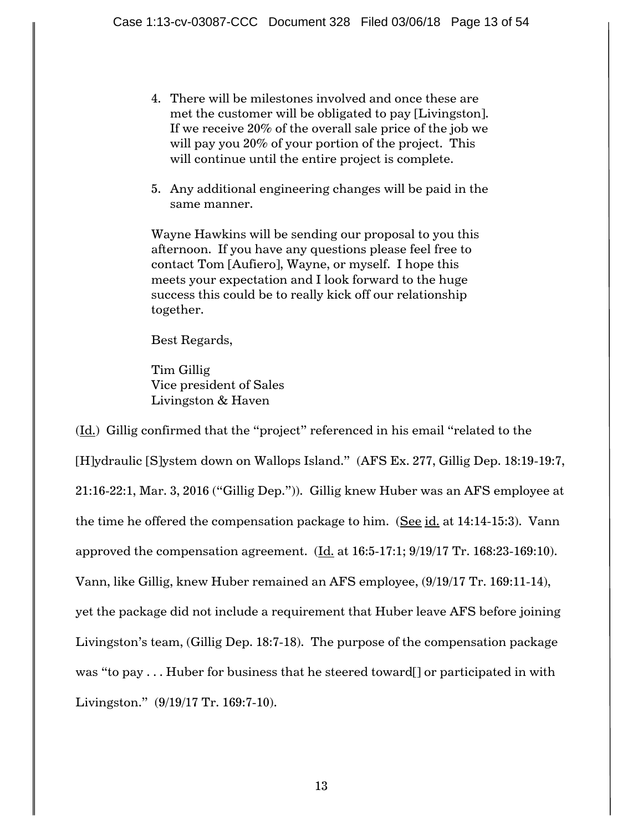- 4. There will be milestones involved and once these are met the customer will be obligated to pay [Livingston]. If we receive 20% of the overall sale price of the job we will pay you 20% of your portion of the project. This will continue until the entire project is complete.
- 5. Any additional engineering changes will be paid in the same manner.

Wayne Hawkins will be sending our proposal to you this afternoon. If you have any questions please feel free to contact Tom [Aufiero], Wayne, or myself. I hope this meets your expectation and I look forward to the huge success this could be to really kick off our relationship together.

Best Regards,

Tim Gillig Vice president of Sales Livingston & Haven

(Id.) Gillig confirmed that the "project" referenced in his email "related to the [H]ydraulic [S]ystem down on Wallops Island." (AFS Ex. 277, Gillig Dep. 18:19-19:7, 21:16-22:1, Mar. 3, 2016 ("Gillig Dep.")). Gillig knew Huber was an AFS employee at the time he offered the compensation package to him. (See id. at 14:14-15:3). Vann approved the compensation agreement.  $(Id. at 16:5-17:1; 9/19/17$  Tr. 168:23-169:10). Vann, like Gillig, knew Huber remained an AFS employee, (9/19/17 Tr. 169:11-14), yet the package did not include a requirement that Huber leave AFS before joining Livingston"s team, (Gillig Dep. 18:7-18). The purpose of the compensation package was "to pay . . . Huber for business that he steered toward[] or participated in with Livingston." (9/19/17 Tr. 169:7-10).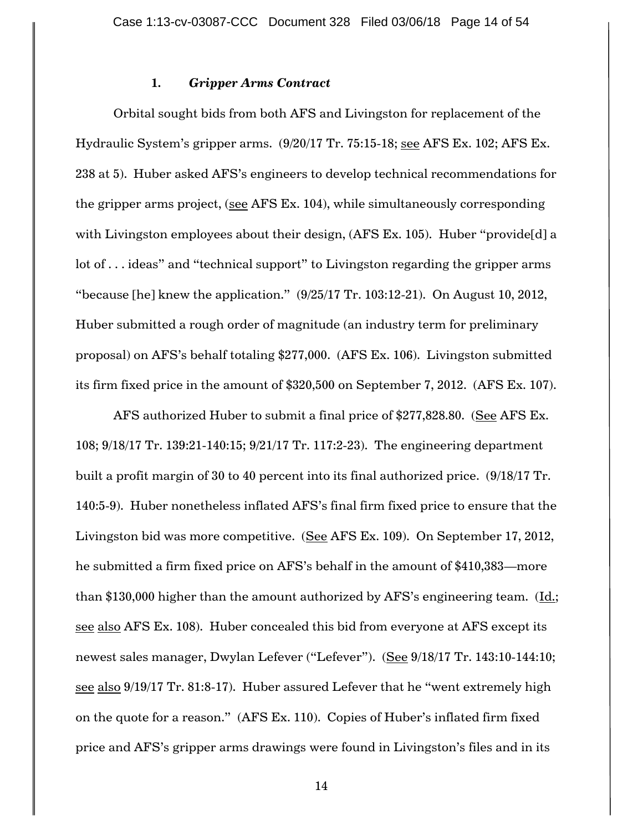### **1.** *Gripper Arms Contract*

Orbital sought bids from both AFS and Livingston for replacement of the Hydraulic System"s gripper arms. (9/20/17 Tr. 75:15-18; see AFS Ex. 102; AFS Ex. 238 at 5). Huber asked AFS"s engineers to develop technical recommendations for the gripper arms project, (see AFS Ex. 104), while simultaneously corresponding with Livingston employees about their design, (AFS Ex. 105). Huber "provide[d] a lot of . . . ideas" and "technical support" to Livingston regarding the gripper arms "because [he] knew the application."  $(9/25/17 \text{ Tr. } 103:12-21)$ . On August 10, 2012, Huber submitted a rough order of magnitude (an industry term for preliminary proposal) on AFS"s behalf totaling \$277,000. (AFS Ex. 106). Livingston submitted its firm fixed price in the amount of \$320,500 on September 7, 2012. (AFS Ex. 107).

AFS authorized Huber to submit a final price of \$277,828.80. (See AFS Ex. 108; 9/18/17 Tr. 139:21-140:15; 9/21/17 Tr. 117:2-23). The engineering department built a profit margin of 30 to 40 percent into its final authorized price. (9/18/17 Tr. 140:5-9). Huber nonetheless inflated AFS"s final firm fixed price to ensure that the Livingston bid was more competitive. (See AFS Ex. 109). On September 17, 2012, he submitted a firm fixed price on AFS"s behalf in the amount of \$410,383—more than \$130,000 higher than the amount authorized by AFS"s engineering team. (Id.; see also AFS Ex. 108). Huber concealed this bid from everyone at AFS except its newest sales manager, Dwylan Lefever ("Lefever"). (See 9/18/17 Tr. 143:10-144:10; see also 9/19/17 Tr. 81:8-17). Huber assured Lefever that he "went extremely high on the quote for a reason." (AFS Ex. 110). Copies of Huber"s inflated firm fixed price and AFS"s gripper arms drawings were found in Livingston"s files and in its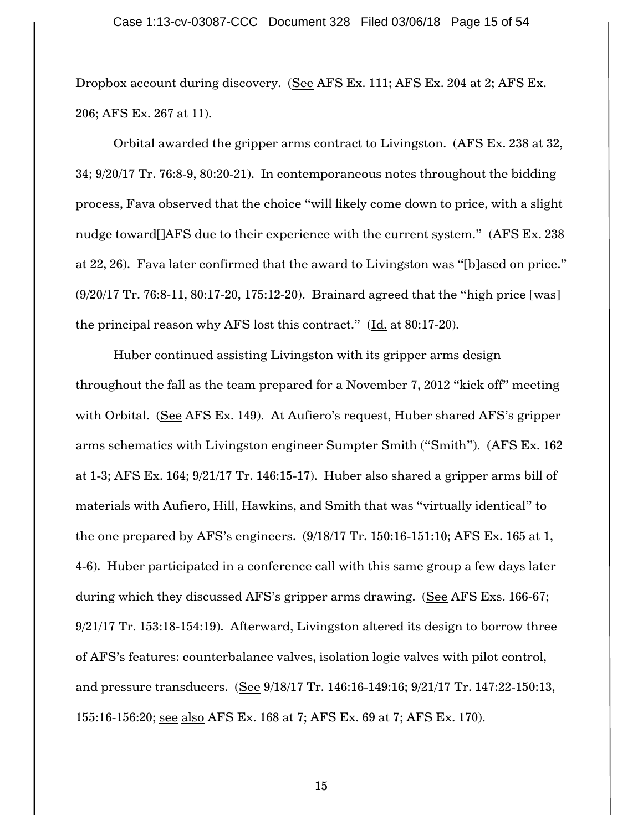Dropbox account during discovery. (See AFS Ex. 111; AFS Ex. 204 at 2; AFS Ex. 206; AFS Ex. 267 at 11).

Orbital awarded the gripper arms contract to Livingston. (AFS Ex. 238 at 32, 34; 9/20/17 Tr. 76:8-9, 80:20-21). In contemporaneous notes throughout the bidding process, Fava observed that the choice "will likely come down to price, with a slight nudge toward [JAFS due to their experience with the current system." (AFS Ex. 238) at 22, 26). Fava later confirmed that the award to Livingston was "[b]ased on price." (9/20/17 Tr. 76:8-11, 80:17-20, 175:12-20). Brainard agreed that the "high price [was] the principal reason why AFS lost this contract."  $(\underline{Id}$  at 80:17-20).

Huber continued assisting Livingston with its gripper arms design throughout the fall as the team prepared for a November 7, 2012 "kick off" meeting with Orbital. (See AFS Ex. 149). At Aufiero's request, Huber shared AFS's gripper arms schematics with Livingston engineer Sumpter Smith ("Smith"). (AFS Ex. 162 at 1-3; AFS Ex. 164; 9/21/17 Tr. 146:15-17). Huber also shared a gripper arms bill of materials with Aufiero, Hill, Hawkins, and Smith that was "virtually identical" to the one prepared by AFS"s engineers. (9/18/17 Tr. 150:16-151:10; AFS Ex. 165 at 1, 4-6). Huber participated in a conference call with this same group a few days later during which they discussed AFS"s gripper arms drawing. (See AFS Exs. 166-67; 9/21/17 Tr. 153:18-154:19). Afterward, Livingston altered its design to borrow three of AFS"s features: counterbalance valves, isolation logic valves with pilot control, and pressure transducers. (See 9/18/17 Tr. 146:16-149:16; 9/21/17 Tr. 147:22-150:13, 155:16-156:20; see also AFS Ex. 168 at 7; AFS Ex. 69 at 7; AFS Ex. 170).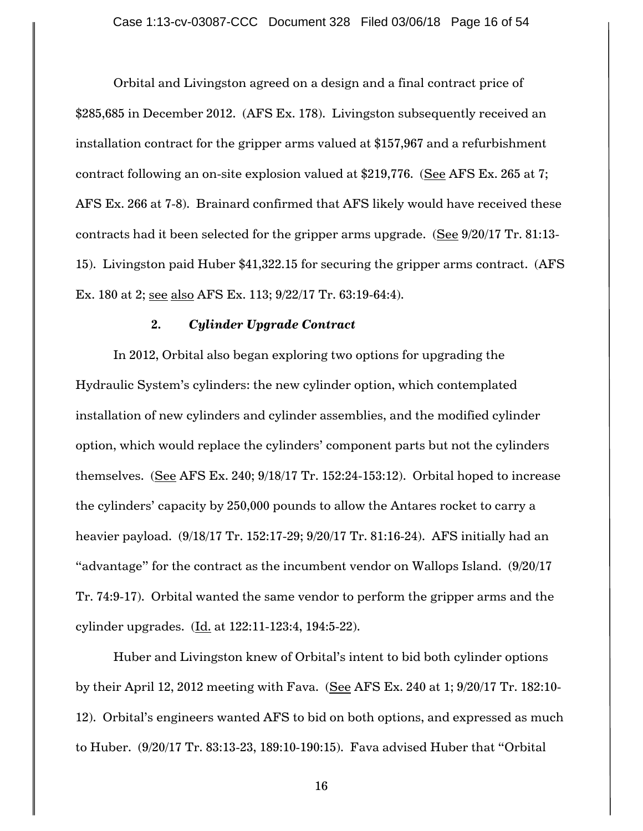Orbital and Livingston agreed on a design and a final contract price of \$285,685 in December 2012. (AFS Ex. 178). Livingston subsequently received an installation contract for the gripper arms valued at \$157,967 and a refurbishment contract following an on-site explosion valued at \$219,776. (See AFS Ex. 265 at 7; AFS Ex. 266 at 7-8). Brainard confirmed that AFS likely would have received these contracts had it been selected for the gripper arms upgrade. (See 9/20/17 Tr. 81:13- 15). Livingston paid Huber \$41,322.15 for securing the gripper arms contract. (AFS Ex. 180 at 2; see also AFS Ex. 113; 9/22/17 Tr. 63:19-64:4).

#### **2.** *Cylinder Upgrade Contract*

In 2012, Orbital also began exploring two options for upgrading the Hydraulic System"s cylinders: the new cylinder option, which contemplated installation of new cylinders and cylinder assemblies, and the modified cylinder option, which would replace the cylinders" component parts but not the cylinders themselves.  $(See$  AFS Ex. 240;  $9/18/17$  Tr. 152:24-153:12). Orbital hoped to increase the cylinders' capacity by 250,000 pounds to allow the Antares rocket to carry a heavier payload. (9/18/17 Tr. 152:17-29; 9/20/17 Tr. 81:16-24). AFS initially had an "advantage" for the contract as the incumbent vendor on Wallops Island. (9/20/17 Tr. 74:9-17). Orbital wanted the same vendor to perform the gripper arms and the cylinder upgrades. (Id. at 122:11-123:4, 194:5-22).

Huber and Livingston knew of Orbital"s intent to bid both cylinder options by their April 12, 2012 meeting with Fava. (See AFS Ex. 240 at 1; 9/20/17 Tr. 182:10- 12). Orbital's engineers wanted AFS to bid on both options, and expressed as much to Huber. (9/20/17 Tr. 83:13-23, 189:10-190:15). Fava advised Huber that "Orbital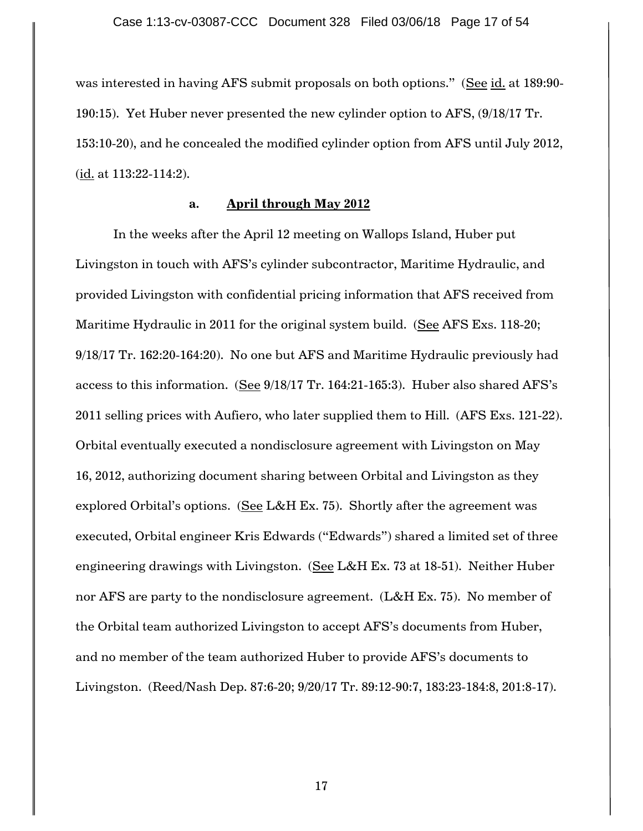was interested in having AFS submit proposals on both options." (See id. at 189:90- 190:15). Yet Huber never presented the new cylinder option to AFS, (9/18/17 Tr. 153:10-20), and he concealed the modified cylinder option from AFS until July 2012, (id. at 113:22-114:2).

## **a. April through May 2012**

In the weeks after the April 12 meeting on Wallops Island, Huber put Livingston in touch with AFS"s cylinder subcontractor, Maritime Hydraulic, and provided Livingston with confidential pricing information that AFS received from Maritime Hydraulic in 2011 for the original system build. (See AFS Exs. 118-20; 9/18/17 Tr. 162:20-164:20). No one but AFS and Maritime Hydraulic previously had access to this information. (See 9/18/17 Tr. 164:21-165:3). Huber also shared AFS's 2011 selling prices with Aufiero, who later supplied them to Hill. (AFS Exs. 121-22). Orbital eventually executed a nondisclosure agreement with Livingston on May 16, 2012, authorizing document sharing between Orbital and Livingston as they explored Orbital's options. (See L&H Ex. 75). Shortly after the agreement was executed, Orbital engineer Kris Edwards ("Edwards") shared a limited set of three engineering drawings with Livingston. (See L&H Ex. 73 at 18-51). Neither Huber nor AFS are party to the nondisclosure agreement. (L&H Ex. 75). No member of the Orbital team authorized Livingston to accept AFS"s documents from Huber, and no member of the team authorized Huber to provide AFS"s documents to Livingston. (Reed/Nash Dep. 87:6-20; 9/20/17 Tr. 89:12-90:7, 183:23-184:8, 201:8-17).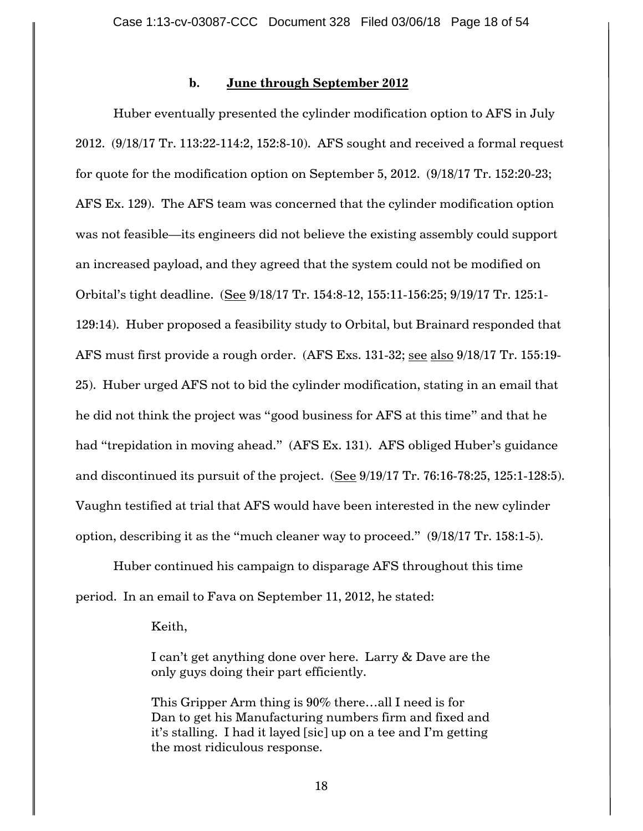## **b. June through September 2012**

Huber eventually presented the cylinder modification option to AFS in July 2012. (9/18/17 Tr. 113:22-114:2, 152:8-10). AFS sought and received a formal request for quote for the modification option on September 5, 2012. (9/18/17 Tr. 152:20-23; AFS Ex. 129). The AFS team was concerned that the cylinder modification option was not feasible—its engineers did not believe the existing assembly could support an increased payload, and they agreed that the system could not be modified on Orbital"s tight deadline. (See 9/18/17 Tr. 154:8-12, 155:11-156:25; 9/19/17 Tr. 125:1- 129:14). Huber proposed a feasibility study to Orbital, but Brainard responded that AFS must first provide a rough order. (AFS Exs. 131-32; see also 9/18/17 Tr. 155:19- 25). Huber urged AFS not to bid the cylinder modification, stating in an email that he did not think the project was "good business for AFS at this time" and that he had "trepidation in moving ahead." (AFS Ex. 131). AFS obliged Huber's guidance and discontinued its pursuit of the project. (See 9/19/17 Tr. 76:16-78:25, 125:1-128:5). Vaughn testified at trial that AFS would have been interested in the new cylinder option, describing it as the "much cleaner way to proceed." (9/18/17 Tr. 158:1-5).

Huber continued his campaign to disparage AFS throughout this time period. In an email to Fava on September 11, 2012, he stated:

#### Keith,

I can"t get anything done over here. Larry & Dave are the only guys doing their part efficiently.

This Gripper Arm thing is 90% there…all I need is for Dan to get his Manufacturing numbers firm and fixed and it"s stalling. I had it layed [sic] up on a tee and I"m getting the most ridiculous response.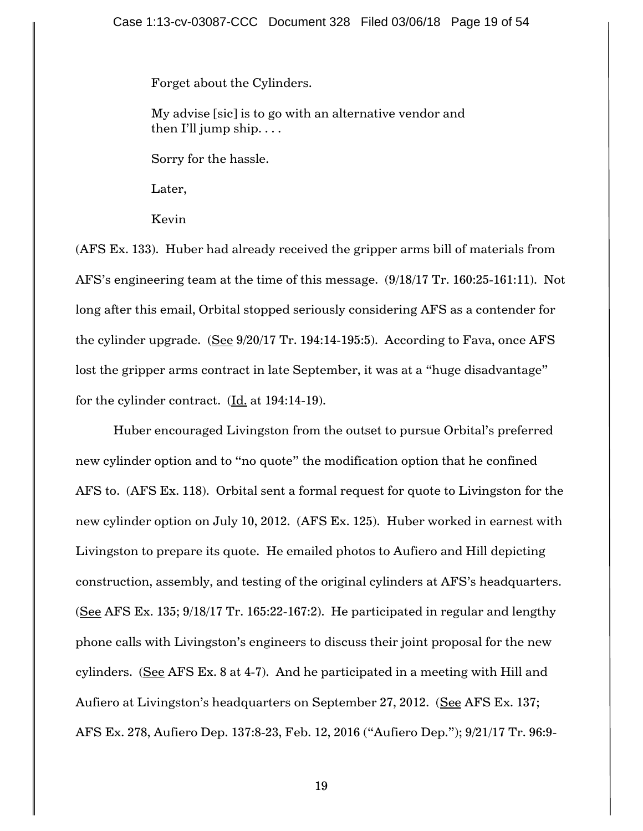Forget about the Cylinders.

My advise [sic] is to go with an alternative vendor and then I'll jump ship.  $\dots$ 

Sorry for the hassle.

Later,

Kevin

(AFS Ex. 133). Huber had already received the gripper arms bill of materials from AFS"s engineering team at the time of this message. (9/18/17 Tr. 160:25-161:11). Not long after this email, Orbital stopped seriously considering AFS as a contender for the cylinder upgrade. (See 9/20/17 Tr. 194:14-195:5). According to Fava, once AFS lost the gripper arms contract in late September, it was at a "huge disadvantage" for the cylinder contract. (Id. at 194:14-19).

Huber encouraged Livingston from the outset to pursue Orbital"s preferred new cylinder option and to "no quote" the modification option that he confined AFS to. (AFS Ex. 118). Orbital sent a formal request for quote to Livingston for the new cylinder option on July 10, 2012. (AFS Ex. 125). Huber worked in earnest with Livingston to prepare its quote. He emailed photos to Aufiero and Hill depicting construction, assembly, and testing of the original cylinders at AFS"s headquarters. (See AFS Ex. 135; 9/18/17 Tr. 165:22-167:2). He participated in regular and lengthy phone calls with Livingston"s engineers to discuss their joint proposal for the new cylinders. (See AFS Ex. 8 at 4-7). And he participated in a meeting with Hill and Aufiero at Livingston's headquarters on September 27, 2012. (See AFS Ex. 137; AFS Ex. 278, Aufiero Dep. 137:8-23, Feb. 12, 2016 ("Aufiero Dep."); 9/21/17 Tr. 96:9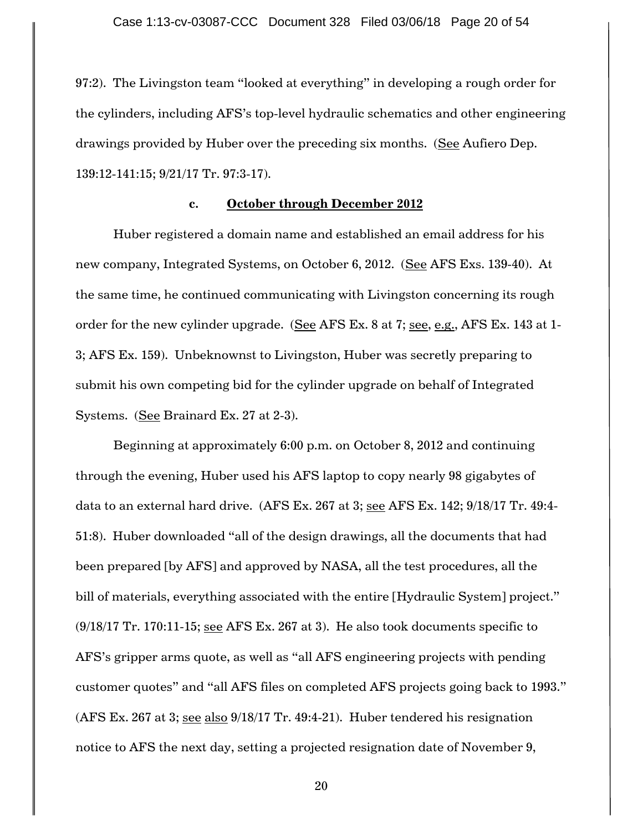97:2). The Livingston team "looked at everything" in developing a rough order for the cylinders, including AFS"s top-level hydraulic schematics and other engineering drawings provided by Huber over the preceding six months. (See Aufiero Dep. 139:12-141:15; 9/21/17 Tr. 97:3-17).

## **c. October through December 2012**

Huber registered a domain name and established an email address for his new company, Integrated Systems, on October 6, 2012. (See AFS Exs. 139-40). At the same time, he continued communicating with Livingston concerning its rough order for the new cylinder upgrade. (See AFS Ex. 8 at 7; see, e.g., AFS Ex. 143 at 1-3; AFS Ex. 159). Unbeknownst to Livingston, Huber was secretly preparing to submit his own competing bid for the cylinder upgrade on behalf of Integrated Systems. (See Brainard Ex. 27 at 2-3).

Beginning at approximately 6:00 p.m. on October 8, 2012 and continuing through the evening, Huber used his AFS laptop to copy nearly 98 gigabytes of data to an external hard drive. (AFS Ex. 267 at 3; see AFS Ex. 142; 9/18/17 Tr. 49:4- 51:8). Huber downloaded "all of the design drawings, all the documents that had been prepared [by AFS] and approved by NASA, all the test procedures, all the bill of materials, everything associated with the entire [Hydraulic System] project."  $(9/18/17$  Tr. 170:11-15; see AFS Ex. 267 at 3). He also took documents specific to AFS"s gripper arms quote, as well as "all AFS engineering projects with pending customer quotes" and "all AFS files on completed AFS projects going back to 1993." (AFS Ex. 267 at 3; see also 9/18/17 Tr. 49:4-21). Huber tendered his resignation notice to AFS the next day, setting a projected resignation date of November 9,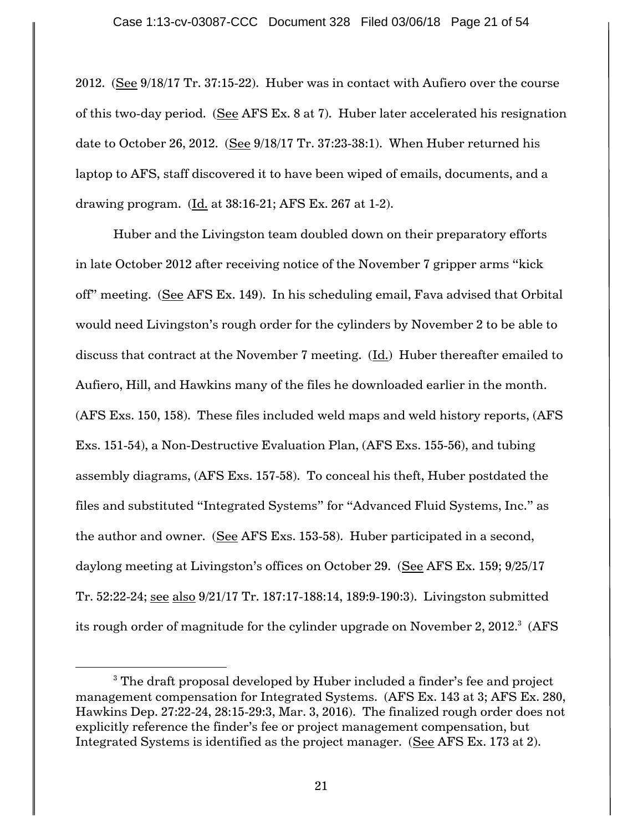2012. (See 9/18/17 Tr. 37:15-22). Huber was in contact with Aufiero over the course of this two-day period. (See AFS Ex. 8 at 7). Huber later accelerated his resignation date to October 26, 2012. (See 9/18/17 Tr. 37:23-38:1). When Huber returned his laptop to AFS, staff discovered it to have been wiped of emails, documents, and a drawing program. (Id. at 38:16-21; AFS Ex. 267 at 1-2).

Huber and the Livingston team doubled down on their preparatory efforts in late October 2012 after receiving notice of the November 7 gripper arms "kick off" meeting. (See AFS Ex. 149). In his scheduling email, Fava advised that Orbital would need Livingston"s rough order for the cylinders by November 2 to be able to discuss that contract at the November 7 meeting. (Id.) Huber thereafter emailed to Aufiero, Hill, and Hawkins many of the files he downloaded earlier in the month. (AFS Exs. 150, 158). These files included weld maps and weld history reports, (AFS Exs. 151-54), a Non-Destructive Evaluation Plan, (AFS Exs. 155-56), and tubing assembly diagrams, (AFS Exs. 157-58). To conceal his theft, Huber postdated the files and substituted "Integrated Systems" for "Advanced Fluid Systems, Inc." as the author and owner. (See AFS Exs. 153-58). Huber participated in a second, daylong meeting at Livingston's offices on October 29. (See AFS Ex. 159; 9/25/17 Tr. 52:22-24; see also 9/21/17 Tr. 187:17-188:14, 189:9-190:3). Livingston submitted its rough order of magnitude for the cylinder upgrade on November 2, 2012. $^3$  (AFS

 $\overline{a}$ 

<sup>&</sup>lt;sup>3</sup> The draft proposal developed by Huber included a finder's fee and project management compensation for Integrated Systems. (AFS Ex. 143 at 3; AFS Ex. 280, Hawkins Dep. 27:22-24, 28:15-29:3, Mar. 3, 2016). The finalized rough order does not explicitly reference the finder"s fee or project management compensation, but Integrated Systems is identified as the project manager. (See AFS Ex. 173 at 2).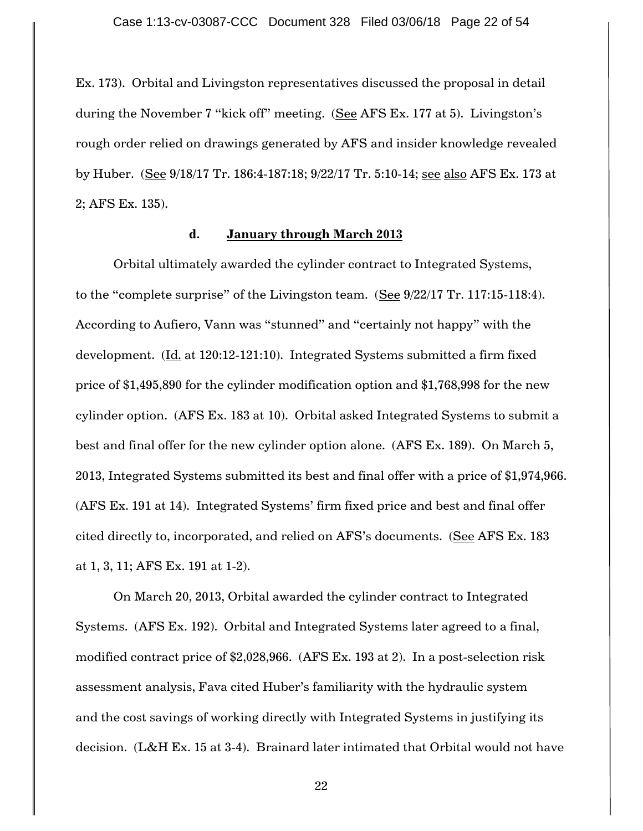Ex. 173). Orbital and Livingston representatives discussed the proposal in detail during the November 7 "kick off" meeting. (See AFS Ex. 177 at 5). Livingston's rough order relied on drawings generated by AFS and insider knowledge revealed by Huber. (See 9/18/17 Tr. 186:4-187:18; 9/22/17 Tr. 5:10-14; see also AFS Ex. 173 at 2; AFS Ex. 135).

### **d. January through March 2013**

Orbital ultimately awarded the cylinder contract to Integrated Systems, to the "complete surprise" of the Livingston team. (See 9/22/17 Tr. 117:15-118:4). According to Aufiero, Vann was "stunned" and "certainly not happy" with the development. (Id. at 120:12-121:10). Integrated Systems submitted a firm fixed price of \$1,495,890 for the cylinder modification option and \$1,768,998 for the new cylinder option. (AFS Ex. 183 at 10). Orbital asked Integrated Systems to submit a best and final offer for the new cylinder option alone. (AFS Ex. 189). On March 5, 2013, Integrated Systems submitted its best and final offer with a price of \$1,974,966. (AFS Ex. 191 at 14). Integrated Systems' firm fixed price and best and final offer cited directly to, incorporated, and relied on AFS's documents. (See AFS Ex. 183 at 1, 3, 11; AFS Ex. 191 at 1-2).

On March 20, 2013, Orbital awarded the cylinder contract to Integrated Systems. (AFS Ex. 192). Orbital and Integrated Systems later agreed to a final, modified contract price of \$2,028,966. (AFS Ex. 193 at 2). In a post-selection risk assessment analysis, Fava cited Huber"s familiarity with the hydraulic system and the cost savings of working directly with Integrated Systems in justifying its decision. (L&H Ex. 15 at 3-4). Brainard later intimated that Orbital would not have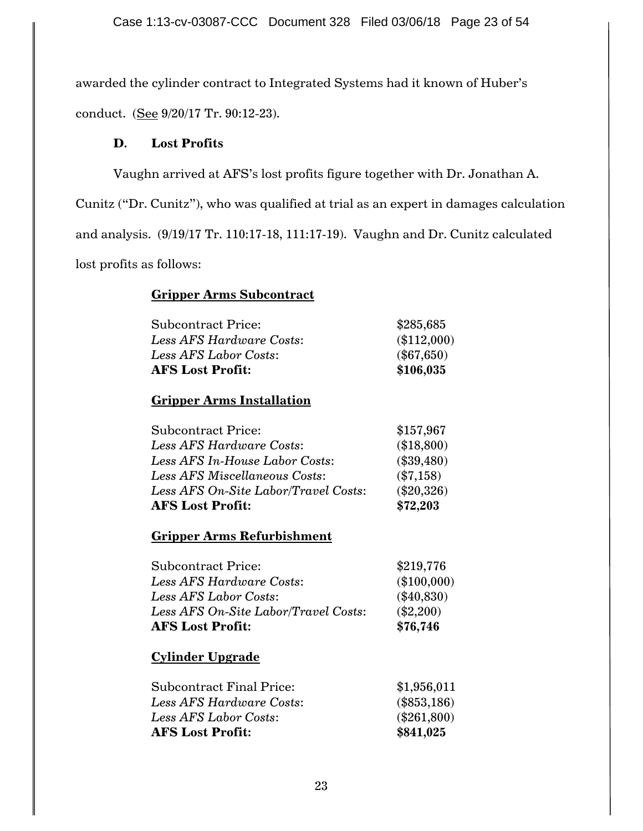awarded the cylinder contract to Integrated Systems had it known of Huber's conduct. (See 9/20/17 Tr. 90:12-23).

# **D. Lost Profits**

Vaughn arrived at AFS"s lost profits figure together with Dr. Jonathan A.

Cunitz ("Dr. Cunitz"), who was qualified at trial as an expert in damages calculation and analysis. (9/19/17 Tr. 110:17-18, 111:17-19). Vaughn and Dr. Cunitz calculated lost profits as follows:

# **Gripper Arms Subcontract**

| <b>AFS Lost Profit:</b>   | \$106,035     |
|---------------------------|---------------|
| Less AFS Labor Costs:     | $(\$67,650)$  |
| Less AFS Hardware Costs:  | $(\$112,000)$ |
| <b>Subcontract Price:</b> | \$285,685     |

# **Gripper Arms Installation**

| <b>Subcontract Price:</b>            | \$157,967    |
|--------------------------------------|--------------|
| Less AFS Hardware Costs:             | (\$18,800)   |
| Less AFS In-House Labor Costs:       | $(\$39,480)$ |
| Less AFS Miscellaneous Costs:        | $(\$7,158)$  |
| Less AFS On-Site Labor/Travel Costs: | $(\$20,326)$ |
| <b>AFS Lost Profit:</b>              | \$72.203     |

# **Gripper Arms Refurbishment**

| <b>AFS Lost Profit:</b>              | \$76,746      |
|--------------------------------------|---------------|
| Less AFS On-Site Labor/Travel Costs: | $(\$2,200)$   |
| Less AFS Labor Costs:                | $(\$40,830)$  |
| Less AFS Hardware Costs:             | $(\$100,000)$ |
| <b>Subcontract Price:</b>            | \$219,776     |

# **Cylinder Upgrade**

| Subcontract Final Price: | \$1,956,011   |
|--------------------------|---------------|
| Less AFS Hardware Costs: | $(\$853,186)$ |
| Less AFS Labor Costs:    | $(\$261,800)$ |
| <b>AFS Lost Profit:</b>  | \$841,025     |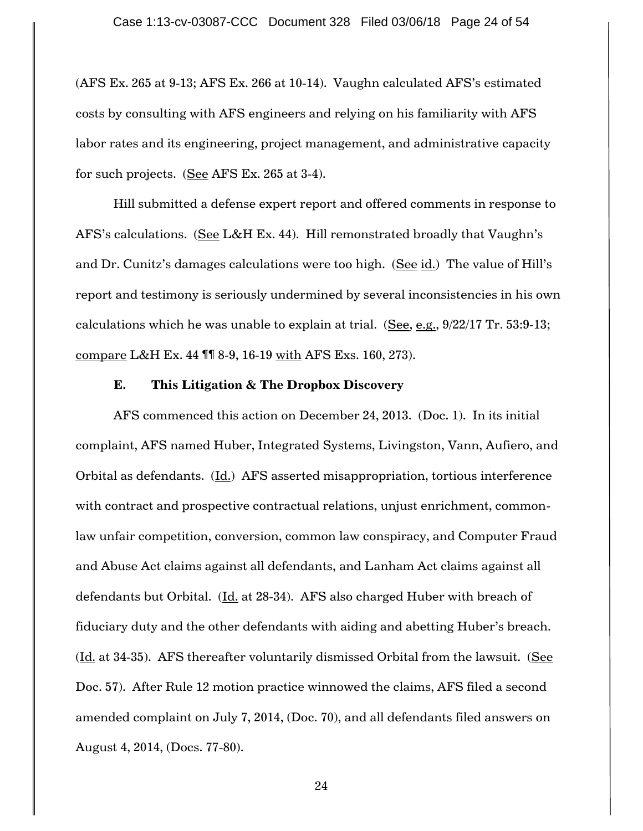(AFS Ex. 265 at 9-13; AFS Ex. 266 at 10-14). Vaughn calculated AFS"s estimated costs by consulting with AFS engineers and relying on his familiarity with AFS labor rates and its engineering, project management, and administrative capacity for such projects. (See AFS Ex. 265 at 3-4).

Hill submitted a defense expert report and offered comments in response to AFS's calculations. (See L&H Ex. 44). Hill remonstrated broadly that Vaughn's and Dr. Cunitz's damages calculations were too high. (See id.) The value of Hill's report and testimony is seriously undermined by several inconsistencies in his own calculations which he was unable to explain at trial. (See, e.g.,  $9/22/17$  Tr. 53:9-13; compare L&H Ex. 44 ¶¶ 8-9, 16-19 with AFS Exs. 160, 273).

### **E. This Litigation & The Dropbox Discovery**

AFS commenced this action on December 24, 2013. (Doc. 1). In its initial complaint, AFS named Huber, Integrated Systems, Livingston, Vann, Aufiero, and Orbital as defendants. (Id.) AFS asserted misappropriation, tortious interference with contract and prospective contractual relations, unjust enrichment, commonlaw unfair competition, conversion, common law conspiracy, and Computer Fraud and Abuse Act claims against all defendants, and Lanham Act claims against all defendants but Orbital. (Id. at 28-34). AFS also charged Huber with breach of fiduciary duty and the other defendants with aiding and abetting Huber"s breach.  $(Ld. at 34-35)$ . AFS thereafter voluntarily dismissed Orbital from the lawsuit. (See Doc. 57). After Rule 12 motion practice winnowed the claims, AFS filed a second amended complaint on July 7, 2014, (Doc. 70), and all defendants filed answers on August 4, 2014, (Docs. 77-80).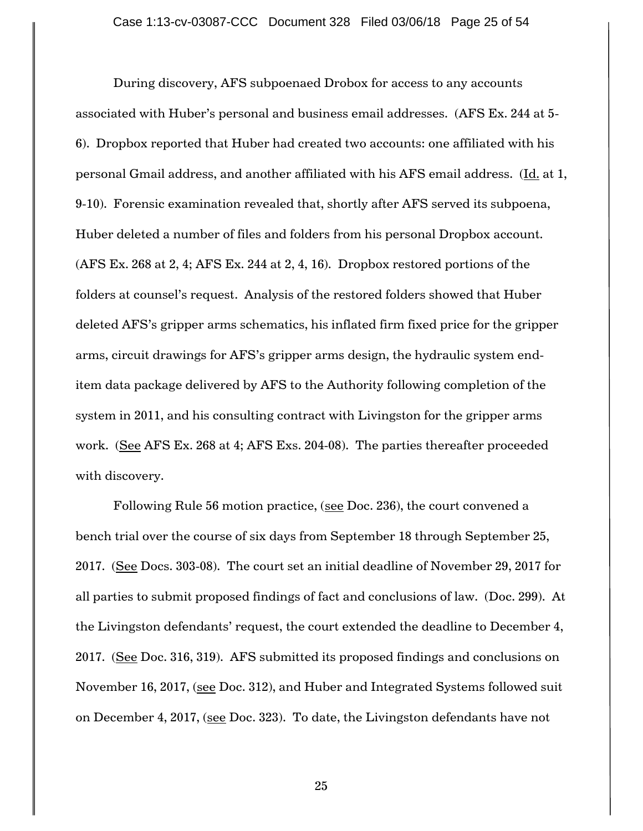During discovery, AFS subpoenaed Drobox for access to any accounts associated with Huber"s personal and business email addresses. (AFS Ex. 244 at 5- 6). Dropbox reported that Huber had created two accounts: one affiliated with his personal Gmail address, and another affiliated with his AFS email address. (Id. at 1, 9-10). Forensic examination revealed that, shortly after AFS served its subpoena, Huber deleted a number of files and folders from his personal Dropbox account. (AFS Ex. 268 at 2, 4; AFS Ex. 244 at 2, 4, 16). Dropbox restored portions of the folders at counsel's request. Analysis of the restored folders showed that Huber deleted AFS"s gripper arms schematics, his inflated firm fixed price for the gripper arms, circuit drawings for AFS"s gripper arms design, the hydraulic system enditem data package delivered by AFS to the Authority following completion of the system in 2011, and his consulting contract with Livingston for the gripper arms work. (See AFS Ex. 268 at 4; AFS Exs. 204-08). The parties thereafter proceeded with discovery.

Following Rule 56 motion practice, (see Doc. 236), the court convened a bench trial over the course of six days from September 18 through September 25, 2017. (See Docs. 303-08). The court set an initial deadline of November 29, 2017 for all parties to submit proposed findings of fact and conclusions of law. (Doc. 299). At the Livingston defendants' request, the court extended the deadline to December 4, 2017. (See Doc. 316, 319). AFS submitted its proposed findings and conclusions on November 16, 2017, (see Doc. 312), and Huber and Integrated Systems followed suit on December 4, 2017, (see Doc. 323). To date, the Livingston defendants have not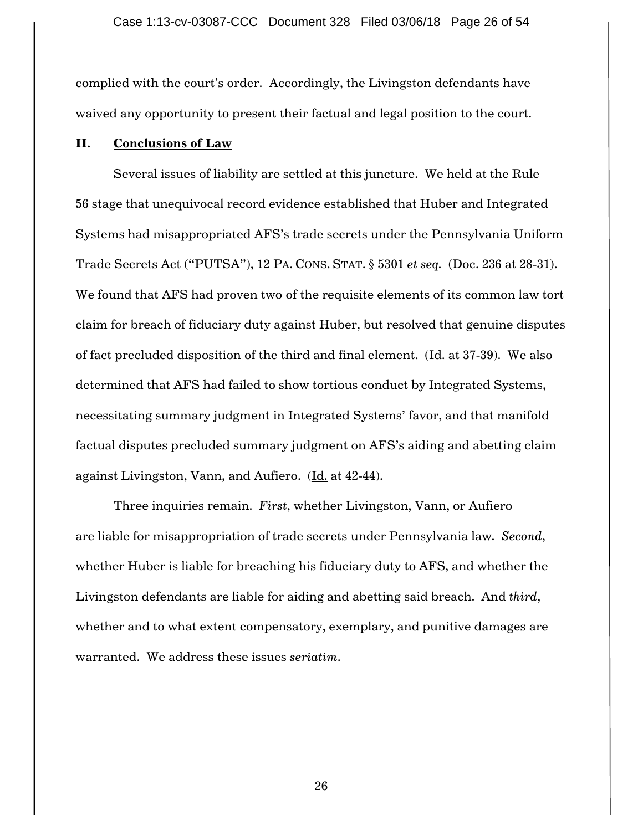complied with the court's order. Accordingly, the Livingston defendants have waived any opportunity to present their factual and legal position to the court.

## **II. Conclusions of Law**

Several issues of liability are settled at this juncture. We held at the Rule 56 stage that unequivocal record evidence established that Huber and Integrated Systems had misappropriated AFS"s trade secrets under the Pennsylvania Uniform Trade Secrets Act ("PUTSA"), 12 PA. CONS. STAT. § 5301 *et seq.* (Doc. 236 at 28-31). We found that AFS had proven two of the requisite elements of its common law tort claim for breach of fiduciary duty against Huber, but resolved that genuine disputes of fact precluded disposition of the third and final element. (Id. at 37-39). We also determined that AFS had failed to show tortious conduct by Integrated Systems, necessitating summary judgment in Integrated Systems' favor, and that manifold factual disputes precluded summary judgment on AFS"s aiding and abetting claim against Livingston, Vann, and Aufiero. (Id. at 42-44).

Three inquiries remain. *First*, whether Livingston, Vann, or Aufiero are liable for misappropriation of trade secrets under Pennsylvania law*. Second*, whether Huber is liable for breaching his fiduciary duty to AFS, and whether the Livingston defendants are liable for aiding and abetting said breach. And *third*, whether and to what extent compensatory, exemplary, and punitive damages are warranted. We address these issues *seriatim*.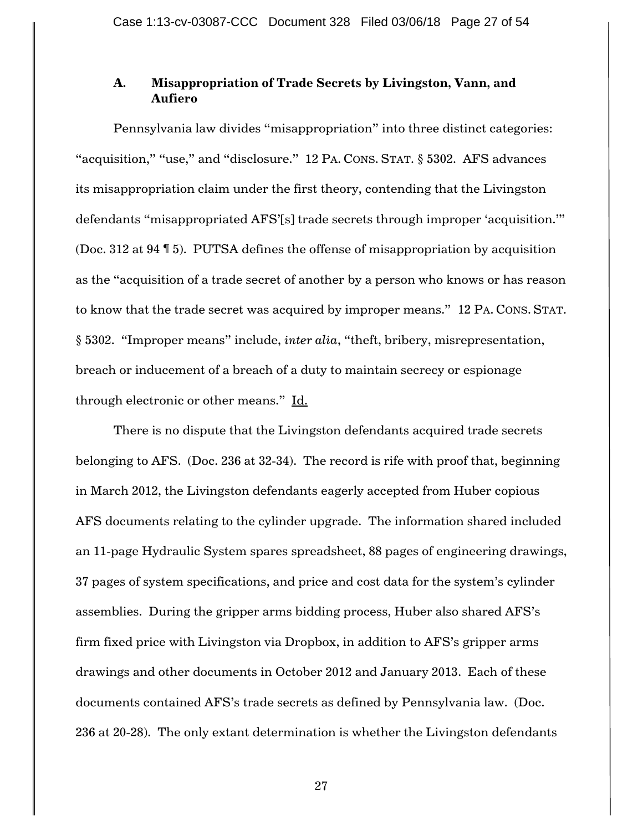## **A. Misappropriation of Trade Secrets by Livingston, Vann, and Aufiero**

Pennsylvania law divides "misappropriation" into three distinct categories: "acquisition," "use," and "disclosure." 12 PA. CONS. STAT. § 5302. AFS advances its misappropriation claim under the first theory, contending that the Livingston defendants "misappropriated AFS"[s] trade secrets through improper "acquisition."" (Doc. 312 at 94 ¶ 5). PUTSA defines the offense of misappropriation by acquisition as the "acquisition of a trade secret of another by a person who knows or has reason to know that the trade secret was acquired by improper means." 12 PA. CONS. STAT. § 5302. "Improper means" include, *inter alia*, "theft, bribery, misrepresentation, breach or inducement of a breach of a duty to maintain secrecy or espionage through electronic or other means." Id.

There is no dispute that the Livingston defendants acquired trade secrets belonging to AFS. (Doc. 236 at 32-34). The record is rife with proof that, beginning in March 2012, the Livingston defendants eagerly accepted from Huber copious AFS documents relating to the cylinder upgrade. The information shared included an 11-page Hydraulic System spares spreadsheet, 88 pages of engineering drawings, 37 pages of system specifications, and price and cost data for the system"s cylinder assemblies. During the gripper arms bidding process, Huber also shared AFS"s firm fixed price with Livingston via Dropbox, in addition to AFS"s gripper arms drawings and other documents in October 2012 and January 2013. Each of these documents contained AFS"s trade secrets as defined by Pennsylvania law. (Doc. 236 at 20-28). The only extant determination is whether the Livingston defendants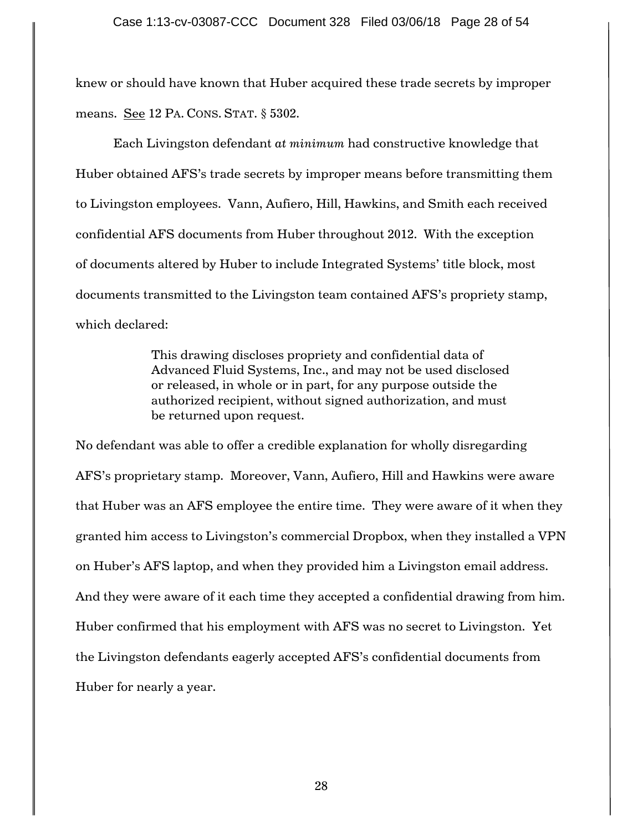knew or should have known that Huber acquired these trade secrets by improper means. See 12 PA. CONS. STAT. § 5302.

Each Livingston defendant *at minimum* had constructive knowledge that Huber obtained AFS"s trade secrets by improper means before transmitting them to Livingston employees. Vann, Aufiero, Hill, Hawkins, and Smith each received confidential AFS documents from Huber throughout 2012. With the exception of documents altered by Huber to include Integrated Systems" title block, most documents transmitted to the Livingston team contained AFS"s propriety stamp, which declared:

> This drawing discloses propriety and confidential data of Advanced Fluid Systems, Inc., and may not be used disclosed or released, in whole or in part, for any purpose outside the authorized recipient, without signed authorization, and must be returned upon request.

No defendant was able to offer a credible explanation for wholly disregarding AFS"s proprietary stamp. Moreover, Vann, Aufiero, Hill and Hawkins were aware that Huber was an AFS employee the entire time. They were aware of it when they granted him access to Livingston"s commercial Dropbox, when they installed a VPN on Huber"s AFS laptop, and when they provided him a Livingston email address. And they were aware of it each time they accepted a confidential drawing from him. Huber confirmed that his employment with AFS was no secret to Livingston. Yet the Livingston defendants eagerly accepted AFS"s confidential documents from Huber for nearly a year.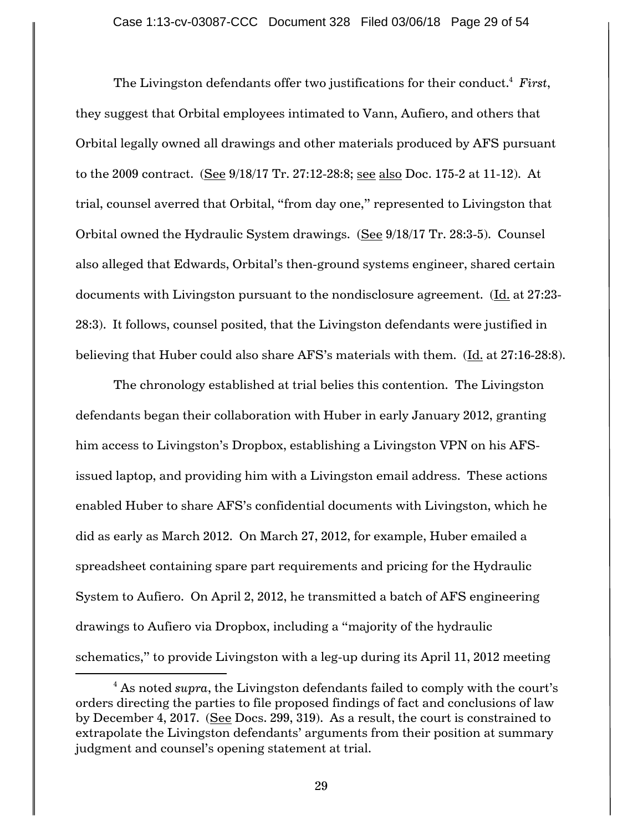The Livingston defendants offer two justifications for their conduct.<sup>4</sup> *First*, they suggest that Orbital employees intimated to Vann, Aufiero, and others that Orbital legally owned all drawings and other materials produced by AFS pursuant to the 2009 contract. (See 9/18/17 Tr. 27:12-28:8; see also Doc. 175-2 at 11-12). At trial, counsel averred that Orbital, "from day one," represented to Livingston that Orbital owned the Hydraulic System drawings. (See 9/18/17 Tr. 28:3-5). Counsel also alleged that Edwards, Orbital"s then-ground systems engineer, shared certain documents with Livingston pursuant to the nondisclosure agreement. (Id. at 27:23- 28:3). It follows, counsel posited, that the Livingston defendants were justified in believing that Huber could also share AFS"s materials with them. (Id. at 27:16-28:8).

The chronology established at trial belies this contention. The Livingston defendants began their collaboration with Huber in early January 2012, granting him access to Livingston's Dropbox, establishing a Livingston VPN on his AFSissued laptop, and providing him with a Livingston email address. These actions enabled Huber to share AFS"s confidential documents with Livingston, which he did as early as March 2012. On March 27, 2012, for example, Huber emailed a spreadsheet containing spare part requirements and pricing for the Hydraulic System to Aufiero. On April 2, 2012, he transmitted a batch of AFS engineering drawings to Aufiero via Dropbox, including a "majority of the hydraulic schematics," to provide Livingston with a leg-up during its April 11, 2012 meeting

 $\overline{a}$ 

<sup>&</sup>lt;sup>4</sup> As noted *supra*, the Livingston defendants failed to comply with the court's orders directing the parties to file proposed findings of fact and conclusions of law by December 4, 2017. (See Docs. 299, 319). As a result, the court is constrained to extrapolate the Livingston defendants' arguments from their position at summary judgment and counsel's opening statement at trial.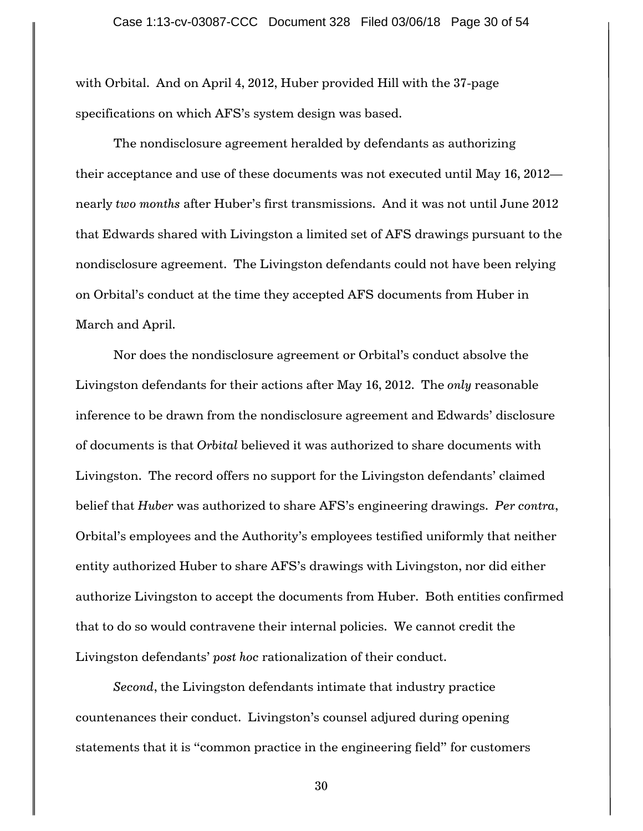with Orbital. And on April 4, 2012, Huber provided Hill with the 37-page specifications on which AFS"s system design was based.

The nondisclosure agreement heralded by defendants as authorizing their acceptance and use of these documents was not executed until May 16, 2012 nearly *two months* after Huber"s first transmissions. And it was not until June 2012 that Edwards shared with Livingston a limited set of AFS drawings pursuant to the nondisclosure agreement. The Livingston defendants could not have been relying on Orbital"s conduct at the time they accepted AFS documents from Huber in March and April.

Nor does the nondisclosure agreement or Orbital"s conduct absolve the Livingston defendants for their actions after May 16, 2012. The *only* reasonable inference to be drawn from the nondisclosure agreement and Edwards' disclosure of documents is that *Orbital* believed it was authorized to share documents with Livingston. The record offers no support for the Livingston defendants" claimed belief that *Huber* was authorized to share AFS"s engineering drawings. *Per contra*, Orbital"s employees and the Authority"s employees testified uniformly that neither entity authorized Huber to share AFS"s drawings with Livingston, nor did either authorize Livingston to accept the documents from Huber. Both entities confirmed that to do so would contravene their internal policies. We cannot credit the Livingston defendants" *post hoc* rationalization of their conduct.

*Second*, the Livingston defendants intimate that industry practice countenances their conduct. Livingston"s counsel adjured during opening statements that it is "common practice in the engineering field" for customers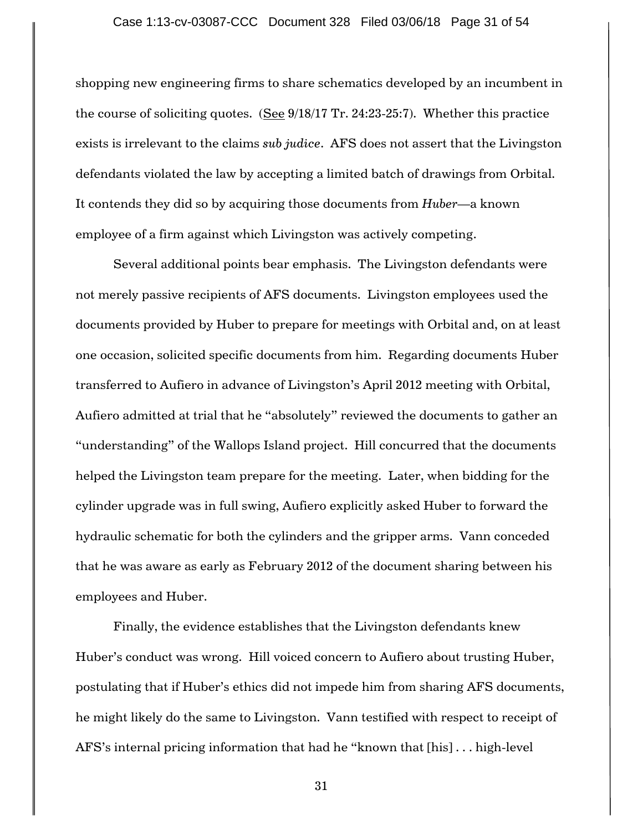shopping new engineering firms to share schematics developed by an incumbent in the course of soliciting quotes. (See 9/18/17 Tr. 24:23-25:7). Whether this practice exists is irrelevant to the claims *sub judice*. AFS does not assert that the Livingston defendants violated the law by accepting a limited batch of drawings from Orbital. It contends they did so by acquiring those documents from *Huber*—a known employee of a firm against which Livingston was actively competing.

Several additional points bear emphasis. The Livingston defendants were not merely passive recipients of AFS documents. Livingston employees used the documents provided by Huber to prepare for meetings with Orbital and, on at least one occasion, solicited specific documents from him. Regarding documents Huber transferred to Aufiero in advance of Livingston's April 2012 meeting with Orbital, Aufiero admitted at trial that he "absolutely" reviewed the documents to gather an "understanding" of the Wallops Island project. Hill concurred that the documents helped the Livingston team prepare for the meeting. Later, when bidding for the cylinder upgrade was in full swing, Aufiero explicitly asked Huber to forward the hydraulic schematic for both the cylinders and the gripper arms. Vann conceded that he was aware as early as February 2012 of the document sharing between his employees and Huber.

 Finally, the evidence establishes that the Livingston defendants knew Huber"s conduct was wrong. Hill voiced concern to Aufiero about trusting Huber, postulating that if Huber"s ethics did not impede him from sharing AFS documents, he might likely do the same to Livingston. Vann testified with respect to receipt of AFS"s internal pricing information that had he "known that [his] . . . high-level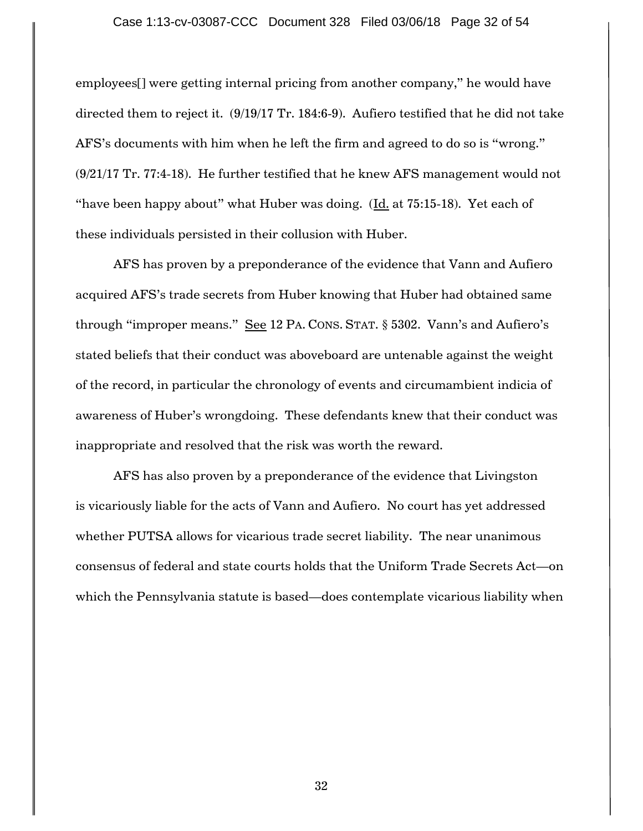employees[] were getting internal pricing from another company," he would have directed them to reject it. (9/19/17 Tr. 184:6-9). Aufiero testified that he did not take AFS"s documents with him when he left the firm and agreed to do so is "wrong." (9/21/17 Tr. 77:4-18). He further testified that he knew AFS management would not "have been happy about" what Huber was doing. (Id. at 75:15-18). Yet each of these individuals persisted in their collusion with Huber.

AFS has proven by a preponderance of the evidence that Vann and Aufiero acquired AFS"s trade secrets from Huber knowing that Huber had obtained same through "improper means."  $\frac{e}{e}$  12 PA. CONS. STAT. § 5302. Vann's and Aufiero's stated beliefs that their conduct was aboveboard are untenable against the weight of the record, in particular the chronology of events and circumambient indicia of awareness of Huber"s wrongdoing. These defendants knew that their conduct was inappropriate and resolved that the risk was worth the reward.

AFS has also proven by a preponderance of the evidence that Livingston is vicariously liable for the acts of Vann and Aufiero. No court has yet addressed whether PUTSA allows for vicarious trade secret liability. The near unanimous consensus of federal and state courts holds that the Uniform Trade Secrets Act—on which the Pennsylvania statute is based—does contemplate vicarious liability when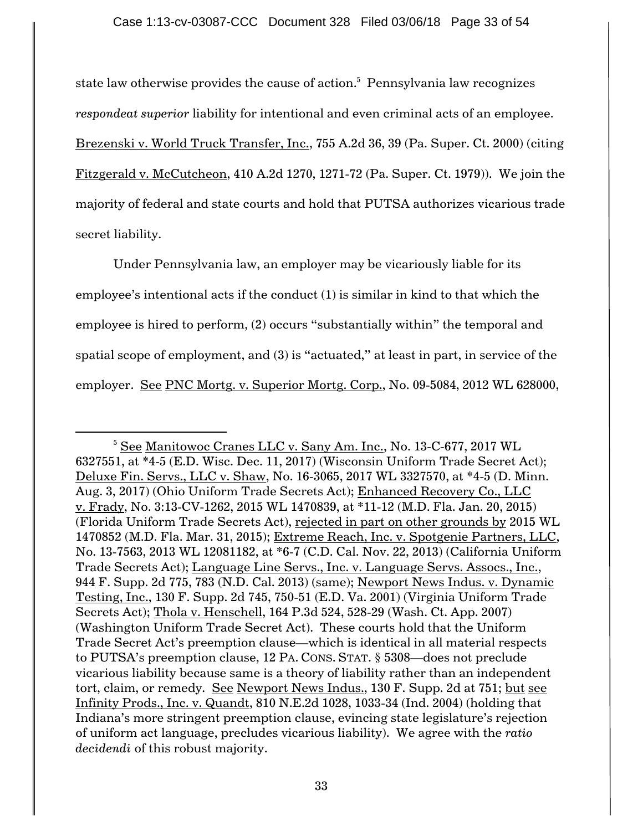state law otherwise provides the cause of action. 5 Pennsylvania law recognizes *respondeat superior* liability for intentional and even criminal acts of an employee. Brezenski v. World Truck Transfer, Inc., 755 A.2d 36, 39 (Pa. Super. Ct. 2000) (citing Fitzgerald v. McCutcheon, 410 A.2d 1270, 1271-72 (Pa. Super. Ct. 1979)). We join the majority of federal and state courts and hold that PUTSA authorizes vicarious trade secret liability.

Under Pennsylvania law, an employer may be vicariously liable for its employee's intentional acts if the conduct (1) is similar in kind to that which the employee is hired to perform, (2) occurs "substantially within" the temporal and spatial scope of employment, and (3) is "actuated," at least in part, in service of the employer. See PNC Mortg. v. Superior Mortg. Corp., No. 09-5084, 2012 WL 628000,

 $\overline{a}$ 

<sup>&</sup>lt;sup>5</sup> See Manitowoc Cranes LLC v. Sany Am. Inc., No. 13-C-677, 2017 WL 6327551, at \*4-5 (E.D. Wisc. Dec. 11, 2017) (Wisconsin Uniform Trade Secret Act); Deluxe Fin. Servs., LLC v. Shaw, No. 16-3065, 2017 WL 3327570, at \*4-5 (D. Minn. Aug. 3, 2017) (Ohio Uniform Trade Secrets Act); Enhanced Recovery Co., LLC v. Frady, No. 3:13-CV-1262, 2015 WL 1470839, at \*11-12 (M.D. Fla. Jan. 20, 2015) (Florida Uniform Trade Secrets Act), rejected in part on other grounds by 2015 WL 1470852 (M.D. Fla. Mar. 31, 2015); Extreme Reach, Inc. v. Spotgenie Partners, LLC, No. 13-7563, 2013 WL 12081182, at \*6-7 (C.D. Cal. Nov. 22, 2013) (California Uniform Trade Secrets Act); Language Line Servs., Inc. v. Language Servs. Assocs., Inc., 944 F. Supp. 2d 775, 783 (N.D. Cal. 2013) (same); Newport News Indus. v. Dynamic Testing, Inc., 130 F. Supp. 2d 745, 750-51 (E.D. Va. 2001) (Virginia Uniform Trade Secrets Act); Thola v. Henschell, 164 P.3d 524, 528-29 (Wash. Ct. App. 2007) (Washington Uniform Trade Secret Act). These courts hold that the Uniform Trade Secret Act"s preemption clause—which is identical in all material respects to PUTSA"s preemption clause, 12 PA. CONS. STAT. § 5308—does not preclude vicarious liability because same is a theory of liability rather than an independent tort, claim, or remedy. See Newport News Indus., 130 F. Supp. 2d at 751; but see Infinity Prods., Inc. v. Quandt, 810 N.E.2d 1028, 1033-34 (Ind. 2004) (holding that Indiana's more stringent preemption clause, evincing state legislature's rejection of uniform act language, precludes vicarious liability). We agree with the *ratio decidendi* of this robust majority.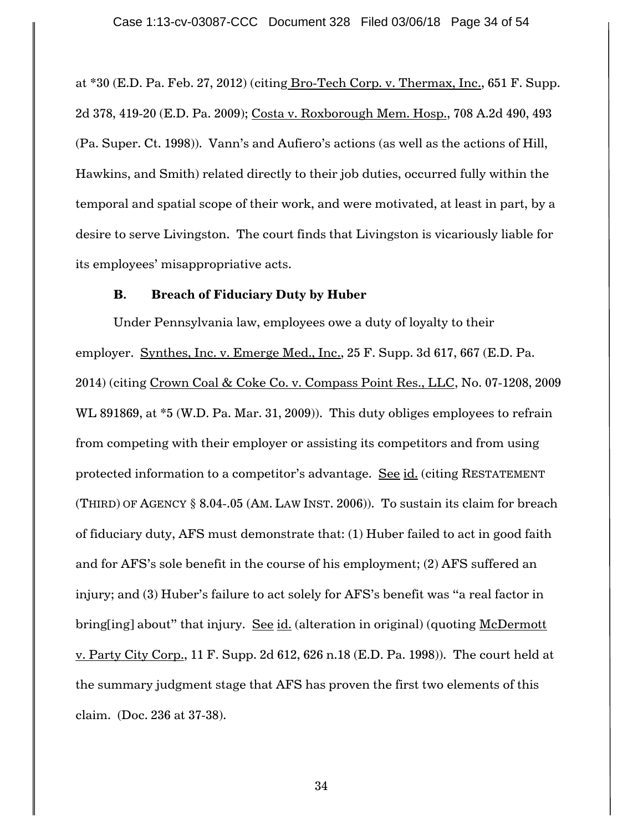at \*30 (E.D. Pa. Feb. 27, 2012) (citing Bro-Tech Corp. v. Thermax, Inc., 651 F. Supp. 2d 378, 419-20 (E.D. Pa. 2009); Costa v. Roxborough Mem. Hosp., 708 A.2d 490, 493 (Pa. Super. Ct. 1998)). Vann"s and Aufiero"s actions (as well as the actions of Hill, Hawkins, and Smith) related directly to their job duties, occurred fully within the temporal and spatial scope of their work, and were motivated, at least in part, by a desire to serve Livingston. The court finds that Livingston is vicariously liable for its employees' misappropriative acts.

## **B. Breach of Fiduciary Duty by Huber**

Under Pennsylvania law, employees owe a duty of loyalty to their employer. Synthes, Inc. v. Emerge Med., Inc., 25 F. Supp. 3d 617, 667 (E.D. Pa. 2014) (citing Crown Coal & Coke Co. v. Compass Point Res., LLC, No. 07-1208, 2009 WL 891869, at \*5 (W.D. Pa. Mar. 31, 2009)). This duty obliges employees to refrain from competing with their employer or assisting its competitors and from using protected information to a competitor"s advantage. See id. (citing RESTATEMENT (THIRD) OF AGENCY § 8.04-.05 (AM. LAW INST. 2006)). To sustain its claim for breach of fiduciary duty, AFS must demonstrate that: (1) Huber failed to act in good faith and for AFS"s sole benefit in the course of his employment; (2) AFS suffered an injury; and (3) Huber's failure to act solely for AFS's benefit was "a real factor in bring[ing] about" that injury. See id. (alteration in original) (quoting McDermott v. Party City Corp., 11 F. Supp. 2d 612, 626 n.18 (E.D. Pa. 1998)). The court held at the summary judgment stage that AFS has proven the first two elements of this claim. (Doc. 236 at 37-38).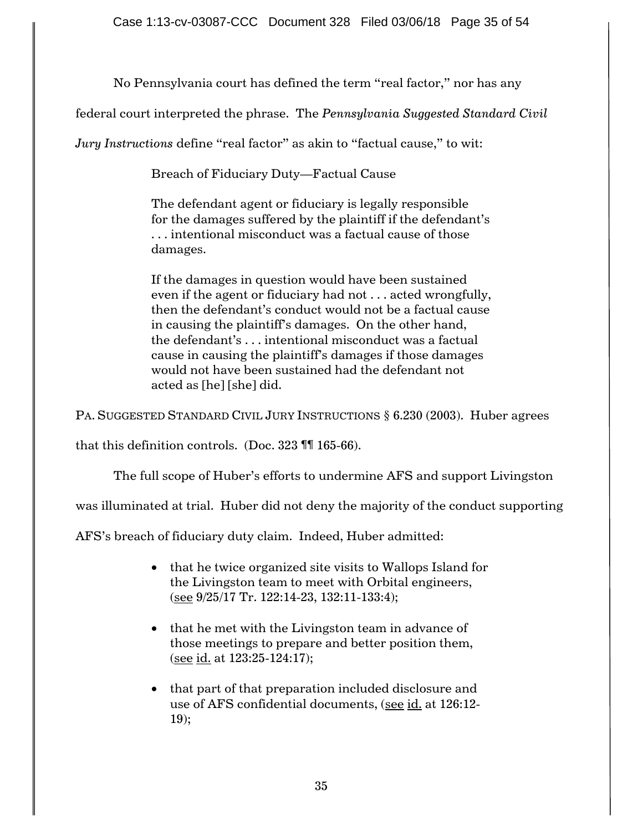No Pennsylvania court has defined the term "real factor," nor has any

federal court interpreted the phrase. The *Pennsylvania Suggested Standard Civil* 

*Jury Instructions* define "real factor" as akin to "factual cause," to wit:

Breach of Fiduciary Duty—Factual Cause

The defendant agent or fiduciary is legally responsible for the damages suffered by the plaintiff if the defendant"s . . . intentional misconduct was a factual cause of those damages.

If the damages in question would have been sustained even if the agent or fiduciary had not . . . acted wrongfully, then the defendant"s conduct would not be a factual cause in causing the plaintiff's damages. On the other hand, the defendant"s . . . intentional misconduct was a factual cause in causing the plaintiff"s damages if those damages would not have been sustained had the defendant not acted as [he] [she] did.

PA. SUGGESTED STANDARD CIVIL JURY INSTRUCTIONS § 6.230 (2003). Huber agrees

that this definition controls. (Doc. 323 ¶¶ 165-66).

The full scope of Huber's efforts to undermine AFS and support Livingston

was illuminated at trial. Huber did not deny the majority of the conduct supporting

AFS"s breach of fiduciary duty claim. Indeed, Huber admitted:

- that he twice organized site visits to Wallops Island for the Livingston team to meet with Orbital engineers, (see 9/25/17 Tr. 122:14-23, 132:11-133:4);
- that he met with the Livingston team in advance of those meetings to prepare and better position them, (see id. at 123:25-124:17);
- that part of that preparation included disclosure and use of AFS confidential documents, (see id. at 126:12-19);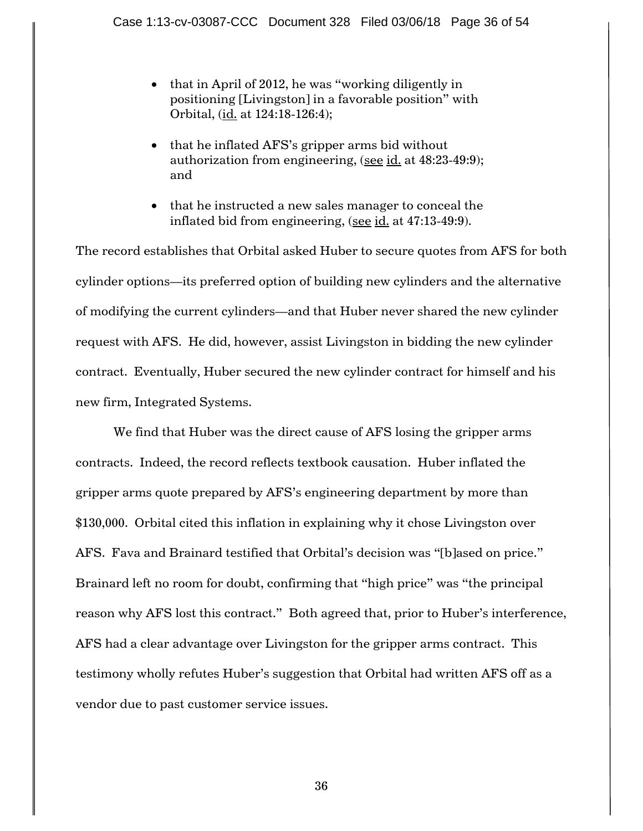- $\bullet$  that in April of 2012, he was "working diligently in positioning [Livingston] in a favorable position" with Orbital, (id. at 124:18-126:4);
- that he inflated AFS's gripper arms bid without authorization from engineering, (see id. at 48:23-49:9); and
- that he instructed a new sales manager to conceal the inflated bid from engineering, (see id. at 47:13-49:9).

The record establishes that Orbital asked Huber to secure quotes from AFS for both cylinder options—its preferred option of building new cylinders and the alternative of modifying the current cylinders—and that Huber never shared the new cylinder request with AFS. He did, however, assist Livingston in bidding the new cylinder contract. Eventually, Huber secured the new cylinder contract for himself and his new firm, Integrated Systems.

We find that Huber was the direct cause of AFS losing the gripper arms contracts. Indeed, the record reflects textbook causation. Huber inflated the gripper arms quote prepared by AFS"s engineering department by more than \$130,000. Orbital cited this inflation in explaining why it chose Livingston over AFS. Fava and Brainard testified that Orbital"s decision was "[b]ased on price." Brainard left no room for doubt, confirming that "high price" was "the principal reason why AFS lost this contract." Both agreed that, prior to Huber's interference, AFS had a clear advantage over Livingston for the gripper arms contract. This testimony wholly refutes Huber"s suggestion that Orbital had written AFS off as a vendor due to past customer service issues.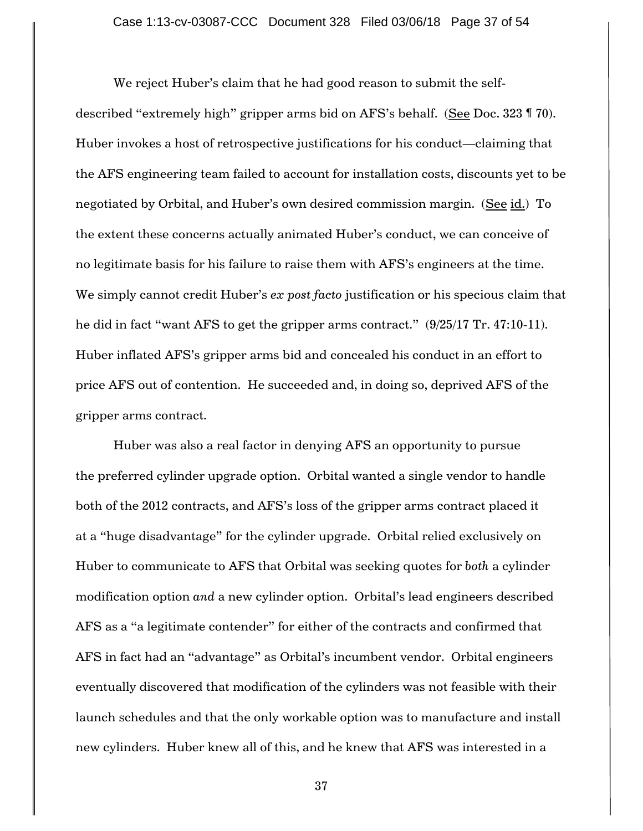We reject Huber's claim that he had good reason to submit the selfdescribed "extremely high" gripper arms bid on AFS"s behalf. (See Doc. 323 ¶ 70). Huber invokes a host of retrospective justifications for his conduct—claiming that the AFS engineering team failed to account for installation costs, discounts yet to be negotiated by Orbital, and Huber"s own desired commission margin. (See id.) To the extent these concerns actually animated Huber"s conduct, we can conceive of no legitimate basis for his failure to raise them with AFS"s engineers at the time. We simply cannot credit Huber's *ex post facto* justification or his specious claim that he did in fact "want AFS to get the gripper arms contract." (9/25/17 Tr. 47:10-11). Huber inflated AFS"s gripper arms bid and concealed his conduct in an effort to price AFS out of contention. He succeeded and, in doing so, deprived AFS of the gripper arms contract.

Huber was also a real factor in denying AFS an opportunity to pursue the preferred cylinder upgrade option. Orbital wanted a single vendor to handle both of the 2012 contracts, and AFS"s loss of the gripper arms contract placed it at a "huge disadvantage" for the cylinder upgrade. Orbital relied exclusively on Huber to communicate to AFS that Orbital was seeking quotes for *both* a cylinder modification option *and* a new cylinder option. Orbital"s lead engineers described AFS as a "a legitimate contender" for either of the contracts and confirmed that AFS in fact had an "advantage" as Orbital"s incumbent vendor. Orbital engineers eventually discovered that modification of the cylinders was not feasible with their launch schedules and that the only workable option was to manufacture and install new cylinders. Huber knew all of this, and he knew that AFS was interested in a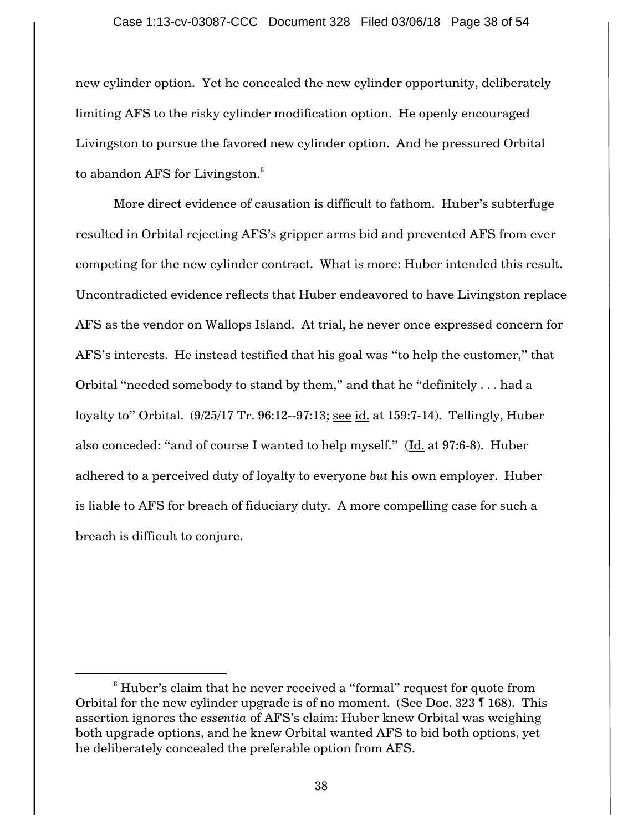new cylinder option. Yet he concealed the new cylinder opportunity, deliberately limiting AFS to the risky cylinder modification option. He openly encouraged Livingston to pursue the favored new cylinder option. And he pressured Orbital to abandon AFS for Livingston. $^6$ 

More direct evidence of causation is difficult to fathom. Huber"s subterfuge resulted in Orbital rejecting AFS"s gripper arms bid and prevented AFS from ever competing for the new cylinder contract. What is more: Huber intended this result. Uncontradicted evidence reflects that Huber endeavored to have Livingston replace AFS as the vendor on Wallops Island. At trial, he never once expressed concern for AFS"s interests. He instead testified that his goal was "to help the customer," that Orbital "needed somebody to stand by them," and that he "definitely . . . had a loyalty to" Orbital. (9/25/17 Tr. 96:12--97:13; see id. at 159:7-14). Tellingly, Huber also conceded: "and of course I wanted to help myself." (Id. at 97:6-8). Huber adhered to a perceived duty of loyalty to everyone *but* his own employer. Huber is liable to AFS for breach of fiduciary duty. A more compelling case for such a breach is difficult to conjure.

 $\overline{a}$ 

 $6$  Huber's claim that he never received a "formal" request for quote from Orbital for the new cylinder upgrade is of no moment. (See Doc. 323 ¶ 168). This assertion ignores the *essentia* of AFS"s claim: Huber knew Orbital was weighing both upgrade options, and he knew Orbital wanted AFS to bid both options, yet he deliberately concealed the preferable option from AFS.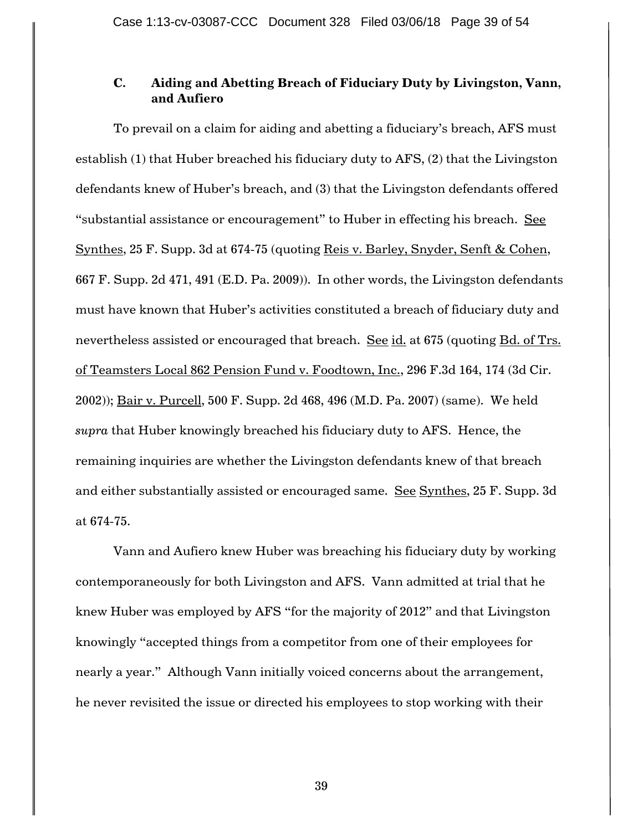# **C. Aiding and Abetting Breach of Fiduciary Duty by Livingston, Vann, and Aufiero**

To prevail on a claim for aiding and abetting a fiduciary"s breach, AFS must establish (1) that Huber breached his fiduciary duty to AFS, (2) that the Livingston defendants knew of Huber"s breach, and (3) that the Livingston defendants offered "substantial assistance or encouragement" to Huber in effecting his breach. See Synthes, 25 F. Supp. 3d at 674-75 (quoting Reis v. Barley, Snyder, Senft & Cohen, 667 F. Supp. 2d 471, 491 (E.D. Pa. 2009)). In other words, the Livingston defendants must have known that Huber"s activities constituted a breach of fiduciary duty and nevertheless assisted or encouraged that breach. See id. at 675 (quoting Bd. of Trs. of Teamsters Local 862 Pension Fund v. Foodtown, Inc., 296 F.3d 164, 174 (3d Cir. 2002)); Bair v. Purcell, 500 F. Supp. 2d 468, 496 (M.D. Pa. 2007) (same). We held *supra* that Huber knowingly breached his fiduciary duty to AFS. Hence, the remaining inquiries are whether the Livingston defendants knew of that breach and either substantially assisted or encouraged same. See Synthes, 25 F. Supp. 3d at 674-75.

Vann and Aufiero knew Huber was breaching his fiduciary duty by working contemporaneously for both Livingston and AFS. Vann admitted at trial that he knew Huber was employed by AFS "for the majority of 2012" and that Livingston knowingly "accepted things from a competitor from one of their employees for nearly a year." Although Vann initially voiced concerns about the arrangement, he never revisited the issue or directed his employees to stop working with their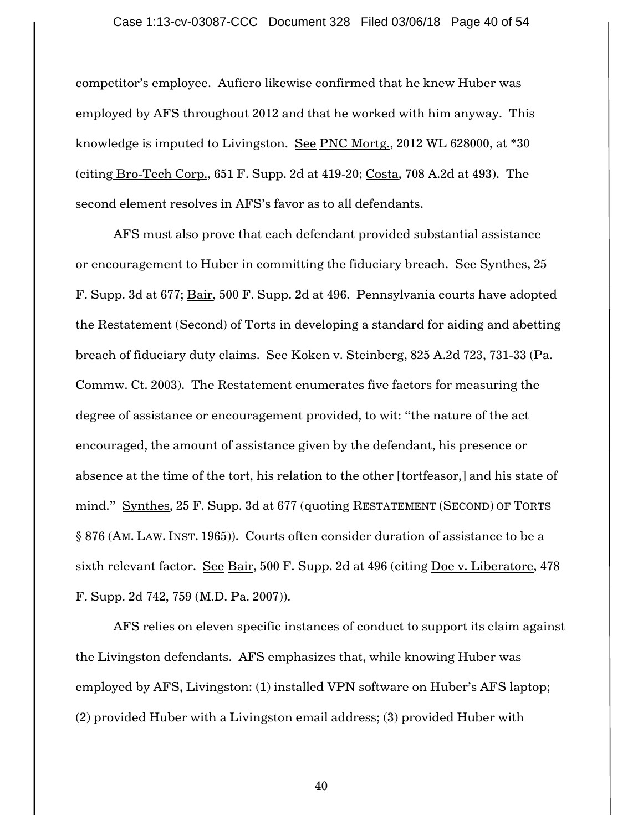competitor"s employee. Aufiero likewise confirmed that he knew Huber was employed by AFS throughout 2012 and that he worked with him anyway. This knowledge is imputed to Livingston. See PNC Mortg., 2012 WL 628000, at \*30 (citing Bro-Tech Corp., 651 F. Supp. 2d at 419-20; Costa, 708 A.2d at 493). The second element resolves in AFS's favor as to all defendants.

AFS must also prove that each defendant provided substantial assistance or encouragement to Huber in committing the fiduciary breach. See Synthes, 25 F. Supp. 3d at 677; Bair, 500 F. Supp. 2d at 496. Pennsylvania courts have adopted the Restatement (Second) of Torts in developing a standard for aiding and abetting breach of fiduciary duty claims. See Koken v. Steinberg, 825 A.2d 723, 731-33 (Pa. Commw. Ct. 2003). The Restatement enumerates five factors for measuring the degree of assistance or encouragement provided, to wit: "the nature of the act encouraged, the amount of assistance given by the defendant, his presence or absence at the time of the tort, his relation to the other [tortfeasor,] and his state of mind." Synthes, 25 F. Supp. 3d at 677 (quoting RESTATEMENT (SECOND) OF TORTS § 876 (AM. LAW. INST. 1965)). Courts often consider duration of assistance to be a sixth relevant factor. See Bair, 500 F. Supp. 2d at 496 (citing Doe v. Liberatore, 478 F. Supp. 2d 742, 759 (M.D. Pa. 2007)).

AFS relies on eleven specific instances of conduct to support its claim against the Livingston defendants. AFS emphasizes that, while knowing Huber was employed by AFS, Livingston: (1) installed VPN software on Huber's AFS laptop; (2) provided Huber with a Livingston email address; (3) provided Huber with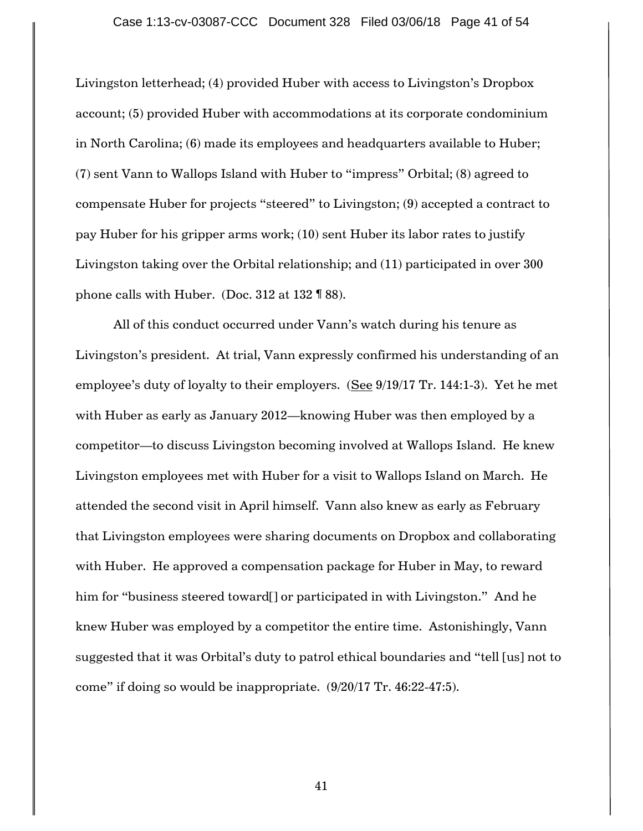Livingston letterhead; (4) provided Huber with access to Livingston"s Dropbox account; (5) provided Huber with accommodations at its corporate condominium in North Carolina; (6) made its employees and headquarters available to Huber; (7) sent Vann to Wallops Island with Huber to "impress" Orbital; (8) agreed to compensate Huber for projects "steered" to Livingston; (9) accepted a contract to pay Huber for his gripper arms work; (10) sent Huber its labor rates to justify Livingston taking over the Orbital relationship; and (11) participated in over 300 phone calls with Huber. (Doc. 312 at 132 ¶ 88).

All of this conduct occurred under Vann"s watch during his tenure as Livingston"s president. At trial, Vann expressly confirmed his understanding of an employee's duty of loyalty to their employers.  $(See 9/19/17$  Tr. 144:1-3). Yet he met with Huber as early as January 2012—knowing Huber was then employed by a competitor—to discuss Livingston becoming involved at Wallops Island. He knew Livingston employees met with Huber for a visit to Wallops Island on March. He attended the second visit in April himself. Vann also knew as early as February that Livingston employees were sharing documents on Dropbox and collaborating with Huber. He approved a compensation package for Huber in May, to reward him for "business steered toward<sup>[]</sup> or participated in with Livingston." And he knew Huber was employed by a competitor the entire time. Astonishingly, Vann suggested that it was Orbital's duty to patrol ethical boundaries and "tell [us] not to come" if doing so would be inappropriate. (9/20/17 Tr. 46:22-47:5).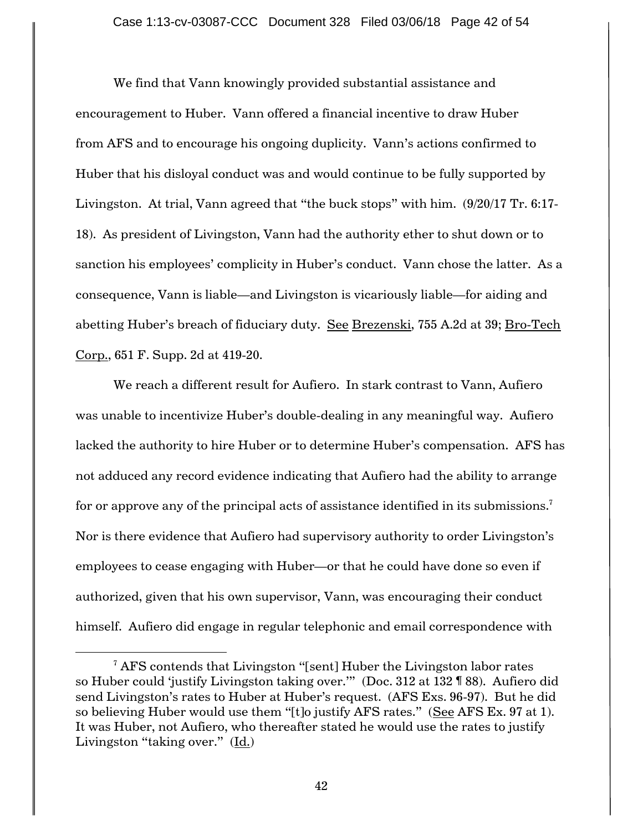We find that Vann knowingly provided substantial assistance and encouragement to Huber. Vann offered a financial incentive to draw Huber from AFS and to encourage his ongoing duplicity. Vann"s actions confirmed to Huber that his disloyal conduct was and would continue to be fully supported by Livingston. At trial, Vann agreed that "the buck stops" with him. (9/20/17 Tr. 6:17- 18). As president of Livingston, Vann had the authority ether to shut down or to sanction his employees' complicity in Huber's conduct. Vann chose the latter. As a consequence, Vann is liable—and Livingston is vicariously liable—for aiding and abetting Huber's breach of fiduciary duty. See Brezenski, 755 A.2d at 39; Bro-Tech Corp., 651 F. Supp. 2d at 419-20.

We reach a different result for Aufiero. In stark contrast to Vann, Aufiero was unable to incentivize Huber's double-dealing in any meaningful way. Aufiero lacked the authority to hire Huber or to determine Huber"s compensation. AFS has not adduced any record evidence indicating that Aufiero had the ability to arrange for or approve any of the principal acts of assistance identified in its submissions. $^7$ Nor is there evidence that Aufiero had supervisory authority to order Livingston"s employees to cease engaging with Huber—or that he could have done so even if authorized, given that his own supervisor, Vann, was encouraging their conduct himself. Aufiero did engage in regular telephonic and email correspondence with

 $\overline{a}$ 

 $7$  AFS contends that Livingston "[sent] Huber the Livingston labor rates so Huber could "justify Livingston taking over."" (Doc. 312 at 132 ¶ 88). Aufiero did send Livingston"s rates to Huber at Huber"s request. (AFS Exs. 96-97). But he did so believing Huber would use them "[t]o justify AFS rates." (See AFS Ex. 97 at 1). It was Huber, not Aufiero, who thereafter stated he would use the rates to justify Livingston "taking over." (Id.)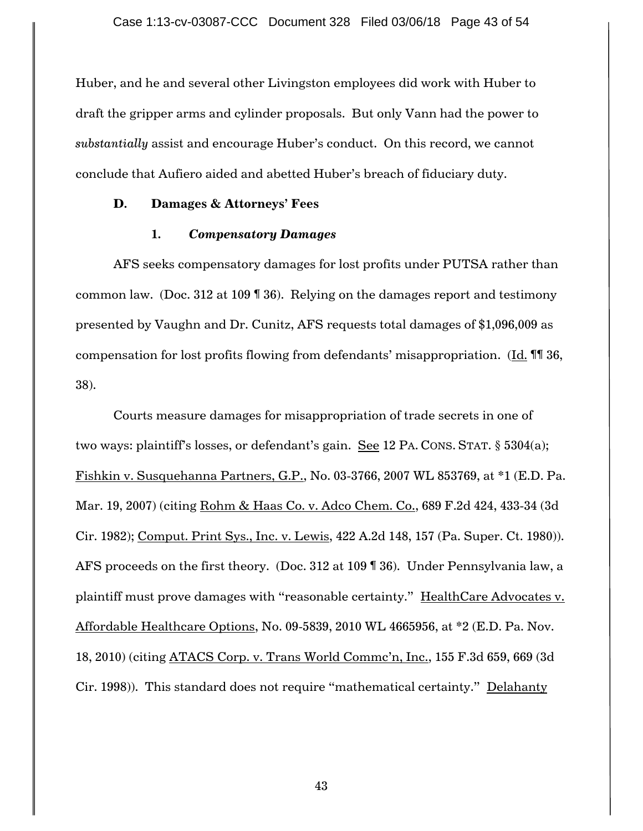Huber, and he and several other Livingston employees did work with Huber to draft the gripper arms and cylinder proposals. But only Vann had the power to *substantially* assist and encourage Huber"s conduct. On this record, we cannot conclude that Aufiero aided and abetted Huber"s breach of fiduciary duty.

## **D. Damages & Attorneys' Fees**

### **1.** *Compensatory Damages*

AFS seeks compensatory damages for lost profits under PUTSA rather than common law. (Doc. 312 at 109 ¶ 36). Relying on the damages report and testimony presented by Vaughn and Dr. Cunitz, AFS requests total damages of \$1,096,009 as compensation for lost profits flowing from defendants" misappropriation. (Id. ¶¶ 36, 38).

Courts measure damages for misappropriation of trade secrets in one of two ways: plaintiff's losses, or defendant's gain. See 12 PA. CONS. STAT. § 5304(a); Fishkin v. Susquehanna Partners, G.P., No. 03-3766, 2007 WL 853769, at \*1 (E.D. Pa. Mar. 19, 2007) (citing Rohm & Haas Co. v. Adco Chem. Co., 689 F.2d 424, 433-34 (3d Cir. 1982); Comput. Print Sys., Inc. v. Lewis, 422 A.2d 148, 157 (Pa. Super. Ct. 1980)). AFS proceeds on the first theory. (Doc. 312 at 109 ¶ 36). Under Pennsylvania law, a plaintiff must prove damages with "reasonable certainty." HealthCare Advocates v. Affordable Healthcare Options, No. 09-5839, 2010 WL 4665956, at \*2 (E.D. Pa. Nov. 18, 2010) (citing ATACS Corp. v. Trans World Commc"n, Inc., 155 F.3d 659, 669 (3d Cir. 1998)). This standard does not require "mathematical certainty." Delahanty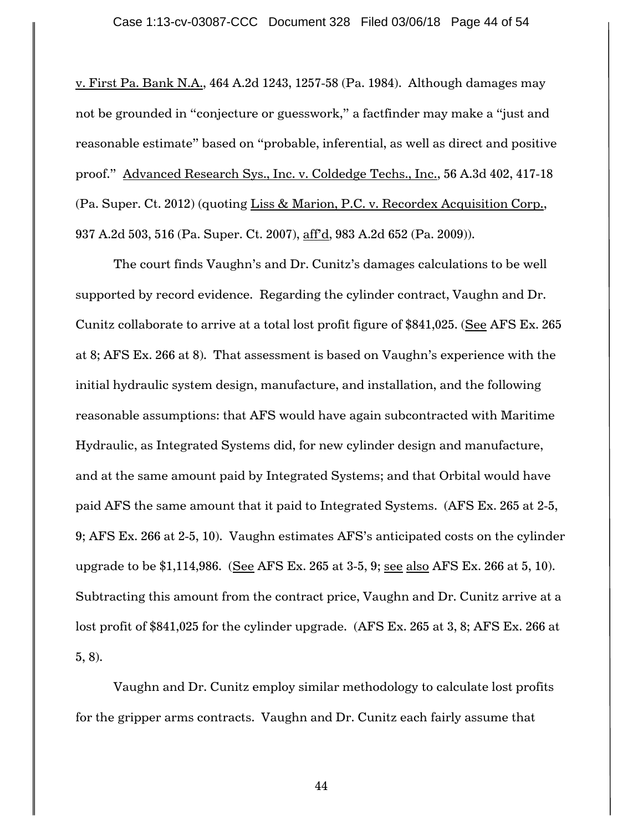v. First Pa. Bank N.A., 464 A.2d 1243, 1257-58 (Pa. 1984). Although damages may not be grounded in "conjecture or guesswork," a factfinder may make a "just and reasonable estimate" based on "probable, inferential, as well as direct and positive proof." Advanced Research Sys., Inc. v. Coldedge Techs., Inc., 56 A.3d 402, 417-18 (Pa. Super. Ct. 2012) (quoting Liss & Marion, P.C. v. Recordex Acquisition Corp., 937 A.2d 503, 516 (Pa. Super. Ct. 2007), aff'd, 983 A.2d 652 (Pa. 2009)).

The court finds Vaughn's and Dr. Cunitz's damages calculations to be well supported by record evidence. Regarding the cylinder contract, Vaughn and Dr. Cunitz collaborate to arrive at a total lost profit figure of \$841,025. (See AFS Ex. 265 at 8; AFS Ex. 266 at 8). That assessment is based on Vaughn"s experience with the initial hydraulic system design, manufacture, and installation, and the following reasonable assumptions: that AFS would have again subcontracted with Maritime Hydraulic, as Integrated Systems did, for new cylinder design and manufacture, and at the same amount paid by Integrated Systems; and that Orbital would have paid AFS the same amount that it paid to Integrated Systems. (AFS Ex. 265 at 2-5, 9; AFS Ex. 266 at 2-5, 10). Vaughn estimates AFS"s anticipated costs on the cylinder upgrade to be \$1,114,986. (See AFS Ex. 265 at 3-5, 9; see also AFS Ex. 266 at 5, 10). Subtracting this amount from the contract price, Vaughn and Dr. Cunitz arrive at a lost profit of \$841,025 for the cylinder upgrade. (AFS Ex. 265 at 3, 8; AFS Ex. 266 at 5, 8).

Vaughn and Dr. Cunitz employ similar methodology to calculate lost profits for the gripper arms contracts. Vaughn and Dr. Cunitz each fairly assume that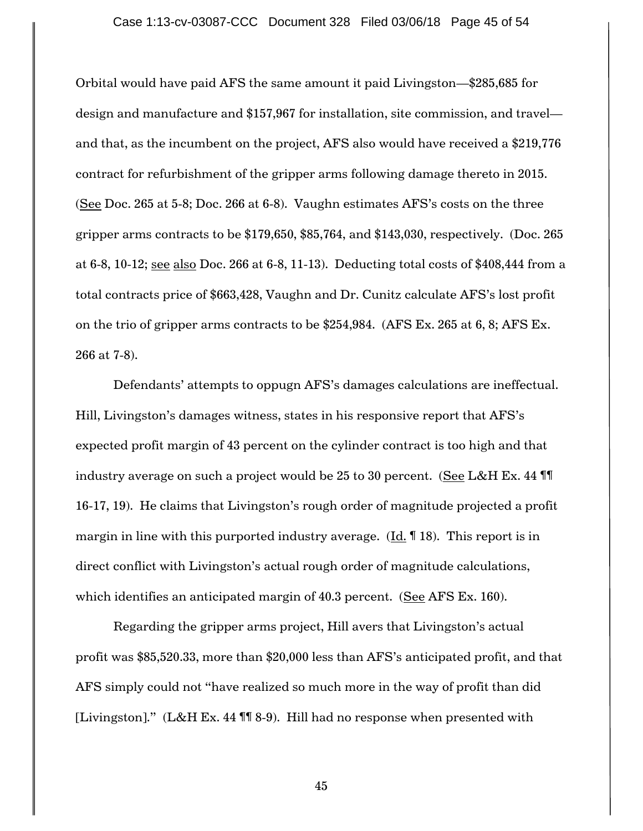Orbital would have paid AFS the same amount it paid Livingston—\$285,685 for design and manufacture and \$157,967 for installation, site commission, and travel and that, as the incumbent on the project, AFS also would have received a \$219,776 contract for refurbishment of the gripper arms following damage thereto in 2015. (See Doc. 265 at 5-8; Doc. 266 at 6-8). Vaughn estimates AFS"s costs on the three gripper arms contracts to be \$179,650, \$85,764, and \$143,030, respectively. (Doc. 265 at 6-8, 10-12; see also Doc. 266 at 6-8, 11-13). Deducting total costs of \$408,444 from a total contracts price of \$663,428, Vaughn and Dr. Cunitz calculate AFS"s lost profit on the trio of gripper arms contracts to be \$254,984. (AFS Ex. 265 at 6, 8; AFS Ex. 266 at 7-8).

Defendants' attempts to oppugn AFS's damages calculations are ineffectual. Hill, Livingston's damages witness, states in his responsive report that AFS's expected profit margin of 43 percent on the cylinder contract is too high and that industry average on such a project would be 25 to 30 percent. (See L&H Ex. 44 ¶¶ 16-17, 19). He claims that Livingston"s rough order of magnitude projected a profit margin in line with this purported industry average.  $(\underline{Id}$ . 18). This report is in direct conflict with Livingston's actual rough order of magnitude calculations, which identifies an anticipated margin of 40.3 percent. (See AFS Ex. 160).

Regarding the gripper arms project, Hill avers that Livingston's actual profit was \$85,520.33, more than \$20,000 less than AFS"s anticipated profit, and that AFS simply could not "have realized so much more in the way of profit than did [Livingston]." (L&H Ex. 44 ¶¶ 8-9). Hill had no response when presented with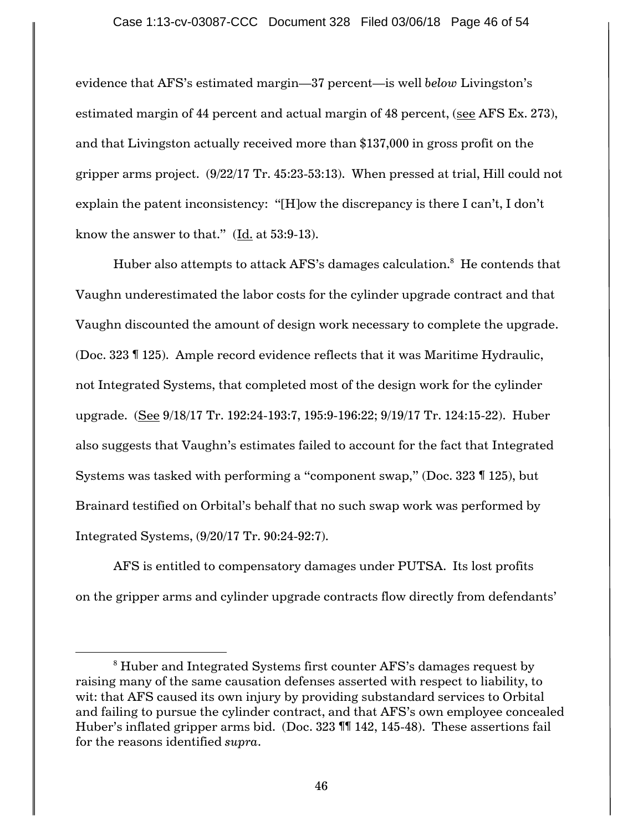evidence that AFS"s estimated margin—37 percent—is well *below* Livingston"s estimated margin of 44 percent and actual margin of 48 percent, (see AFS Ex. 273), and that Livingston actually received more than \$137,000 in gross profit on the gripper arms project. (9/22/17 Tr. 45:23-53:13). When pressed at trial, Hill could not explain the patent inconsistency: "[H]ow the discrepancy is there I can't, I don't know the answer to that." (Id. at 53:9-13).

Huber also attempts to attack AFS's damages calculation. $^8\,$  He contends that Vaughn underestimated the labor costs for the cylinder upgrade contract and that Vaughn discounted the amount of design work necessary to complete the upgrade. (Doc. 323 ¶ 125). Ample record evidence reflects that it was Maritime Hydraulic, not Integrated Systems, that completed most of the design work for the cylinder upgrade. (See 9/18/17 Tr. 192:24-193:7, 195:9-196:22; 9/19/17 Tr. 124:15-22). Huber also suggests that Vaughn"s estimates failed to account for the fact that Integrated Systems was tasked with performing a "component swap," (Doc. 323 ¶ 125), but Brainard testified on Orbital"s behalf that no such swap work was performed by Integrated Systems, (9/20/17 Tr. 90:24-92:7).

AFS is entitled to compensatory damages under PUTSA. Its lost profits on the gripper arms and cylinder upgrade contracts flow directly from defendants"

 $\overline{a}$ 

<sup>&</sup>lt;sup>8</sup> Huber and Integrated Systems first counter AFS's damages request by raising many of the same causation defenses asserted with respect to liability, to wit: that AFS caused its own injury by providing substandard services to Orbital and failing to pursue the cylinder contract, and that AFS"s own employee concealed Huber"s inflated gripper arms bid. (Doc. 323 ¶¶ 142, 145-48). These assertions fail for the reasons identified *supra*.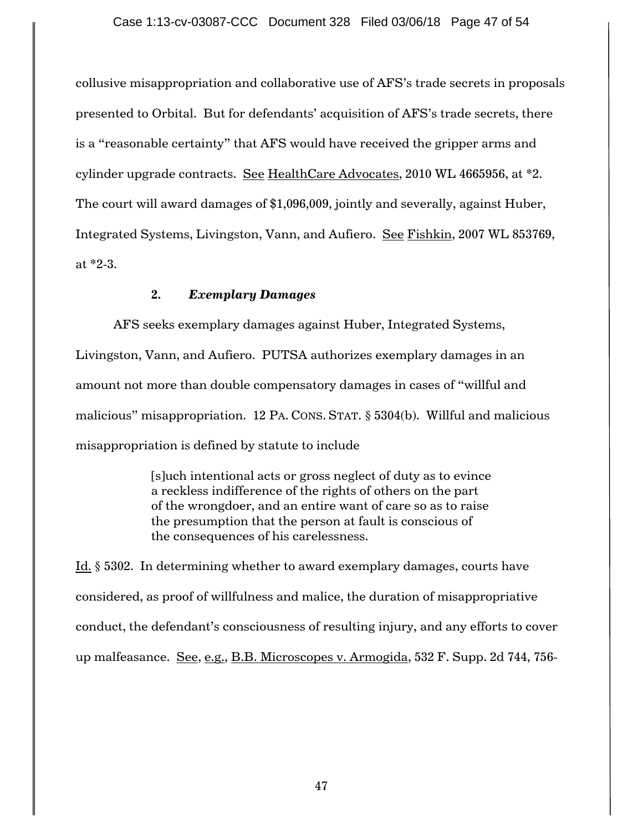collusive misappropriation and collaborative use of AFS"s trade secrets in proposals presented to Orbital. But for defendants" acquisition of AFS"s trade secrets, there is a "reasonable certainty" that AFS would have received the gripper arms and cylinder upgrade contracts. See HealthCare Advocates, 2010 WL 4665956, at \*2. The court will award damages of \$1,096,009, jointly and severally, against Huber, Integrated Systems, Livingston, Vann, and Aufiero. See Fishkin, 2007 WL 853769, at \*2-3.

## **2.** *Exemplary Damages*

AFS seeks exemplary damages against Huber, Integrated Systems, Livingston, Vann, and Aufiero. PUTSA authorizes exemplary damages in an amount not more than double compensatory damages in cases of "willful and malicious" misappropriation. 12 PA. CONS. STAT. § 5304(b). Willful and malicious misappropriation is defined by statute to include

> [s]uch intentional acts or gross neglect of duty as to evince a reckless indifference of the rights of others on the part of the wrongdoer, and an entire want of care so as to raise the presumption that the person at fault is conscious of the consequences of his carelessness.

Id. § 5302. In determining whether to award exemplary damages, courts have considered, as proof of willfulness and malice, the duration of misappropriative conduct, the defendant"s consciousness of resulting injury, and any efforts to cover up malfeasance. See, e.g., B.B. Microscopes v. Armogida, 532 F. Supp. 2d 744, 756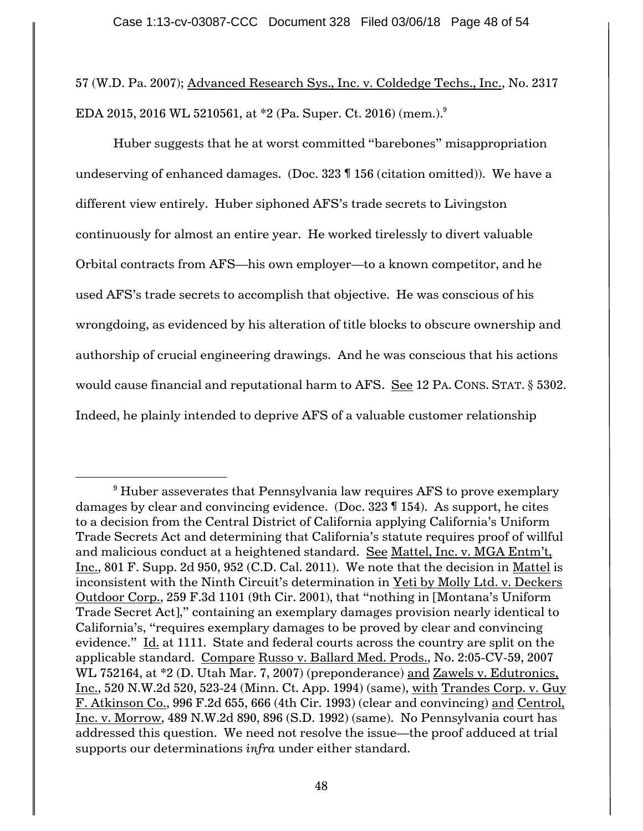57 (W.D. Pa. 2007); Advanced Research Sys., Inc. v. Coldedge Techs., Inc., No. 2317  $\rm EDA$  2015, 2016 WL 5210561, at \*2 (Pa. Super. Ct. 2016) (mem.). $^9$ 

Huber suggests that he at worst committed "barebones" misappropriation undeserving of enhanced damages. (Doc. 323 ¶ 156 (citation omitted)). We have a different view entirely. Huber siphoned AFS"s trade secrets to Livingston continuously for almost an entire year. He worked tirelessly to divert valuable Orbital contracts from AFS—his own employer—to a known competitor, and he used AFS"s trade secrets to accomplish that objective. He was conscious of his wrongdoing, as evidenced by his alteration of title blocks to obscure ownership and authorship of crucial engineering drawings. And he was conscious that his actions would cause financial and reputational harm to AFS. See 12 PA. CONS. STAT. § 5302. Indeed, he plainly intended to deprive AFS of a valuable customer relationship

 $\overline{a}$ 

 $9$  Huber asseverates that Pennsylvania law requires AFS to prove exemplary damages by clear and convincing evidence. (Doc. 323 ¶ 154). As support, he cites to a decision from the Central District of California applying California"s Uniform Trade Secrets Act and determining that California"s statute requires proof of willful and malicious conduct at a heightened standard. See Mattel, Inc. v. MGA Entm"t, Inc., 801 F. Supp. 2d 950, 952 (C.D. Cal. 2011). We note that the decision in Mattel is inconsistent with the Ninth Circuit's determination in Yeti by Molly Ltd. v. Deckers Outdoor Corp., 259 F.3d 1101 (9th Cir. 2001), that "nothing in [Montana"s Uniform Trade Secret Act]," containing an exemplary damages provision nearly identical to California"s, "requires exemplary damages to be proved by clear and convincing evidence." Id. at 1111. State and federal courts across the country are split on the applicable standard. Compare Russo v. Ballard Med. Prods., No. 2:05-CV-59, 2007 WL 752164, at \*2 (D. Utah Mar. 7, 2007) (preponderance) and Zawels v. Edutronics, Inc., 520 N.W.2d 520, 523-24 (Minn. Ct. App. 1994) (same), with Trandes Corp. v. Guy F. Atkinson Co., 996 F.2d 655, 666 (4th Cir. 1993) (clear and convincing) and Centrol, Inc. v. Morrow, 489 N.W.2d 890, 896 (S.D. 1992) (same). No Pennsylvania court has addressed this question. We need not resolve the issue—the proof adduced at trial supports our determinations *infra* under either standard.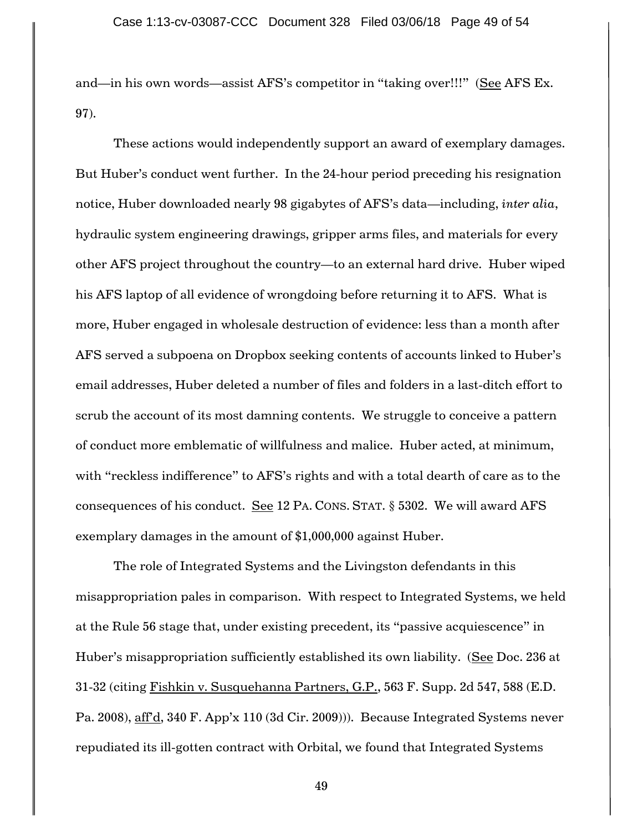and—in his own words—assist AFS's competitor in "taking over!!!" (See AFS Ex. 97).

These actions would independently support an award of exemplary damages. But Huber"s conduct went further. In the 24-hour period preceding his resignation notice, Huber downloaded nearly 98 gigabytes of AFS"s data—including, *inter alia*, hydraulic system engineering drawings, gripper arms files, and materials for every other AFS project throughout the country—to an external hard drive. Huber wiped his AFS laptop of all evidence of wrongdoing before returning it to AFS. What is more, Huber engaged in wholesale destruction of evidence: less than a month after AFS served a subpoena on Dropbox seeking contents of accounts linked to Huber"s email addresses, Huber deleted a number of files and folders in a last-ditch effort to scrub the account of its most damning contents. We struggle to conceive a pattern of conduct more emblematic of willfulness and malice. Huber acted, at minimum, with "reckless indifference" to AFS"s rights and with a total dearth of care as to the consequences of his conduct. See 12 PA. CONS. STAT. § 5302. We will award AFS exemplary damages in the amount of \$1,000,000 against Huber.

The role of Integrated Systems and the Livingston defendants in this misappropriation pales in comparison. With respect to Integrated Systems, we held at the Rule 56 stage that, under existing precedent, its "passive acquiescence" in Huber's misappropriation sufficiently established its own liability. (See Doc. 236 at 31-32 (citing Fishkin v. Susquehanna Partners, G.P., 563 F. Supp. 2d 547, 588 (E.D. Pa. 2008), aff'd, 340 F. App'x 110 (3d Cir. 2009))). Because Integrated Systems never repudiated its ill-gotten contract with Orbital, we found that Integrated Systems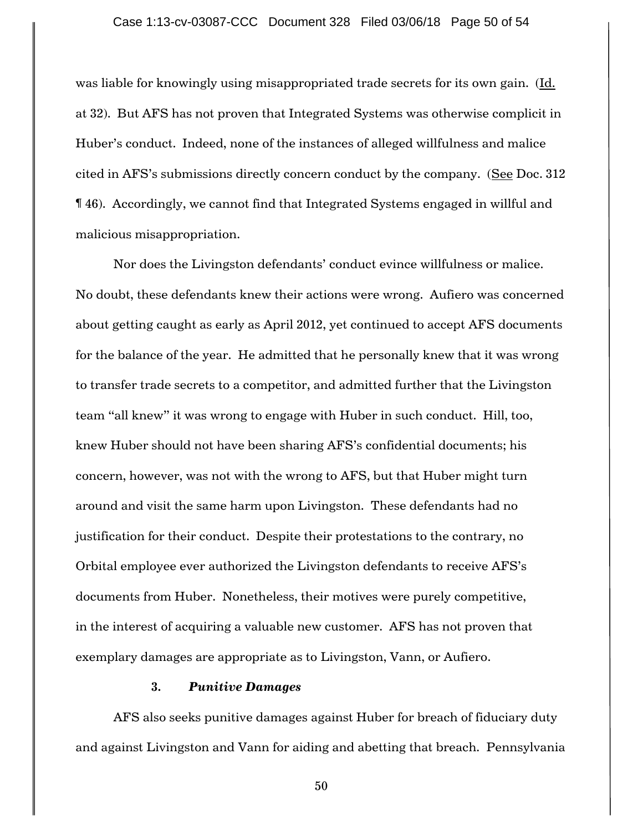was liable for knowingly using misappropriated trade secrets for its own gain. (Id. at 32). But AFS has not proven that Integrated Systems was otherwise complicit in Huber"s conduct. Indeed, none of the instances of alleged willfulness and malice cited in AFS"s submissions directly concern conduct by the company. (See Doc. 312 ¶ 46). Accordingly, we cannot find that Integrated Systems engaged in willful and malicious misappropriation.

Nor does the Livingston defendants" conduct evince willfulness or malice. No doubt, these defendants knew their actions were wrong. Aufiero was concerned about getting caught as early as April 2012, yet continued to accept AFS documents for the balance of the year. He admitted that he personally knew that it was wrong to transfer trade secrets to a competitor, and admitted further that the Livingston team "all knew" it was wrong to engage with Huber in such conduct. Hill, too, knew Huber should not have been sharing AFS"s confidential documents; his concern, however, was not with the wrong to AFS, but that Huber might turn around and visit the same harm upon Livingston. These defendants had no justification for their conduct. Despite their protestations to the contrary, no Orbital employee ever authorized the Livingston defendants to receive AFS"s documents from Huber. Nonetheless, their motives were purely competitive, in the interest of acquiring a valuable new customer. AFS has not proven that exemplary damages are appropriate as to Livingston, Vann, or Aufiero.

## **3.** *Punitive Damages*

AFS also seeks punitive damages against Huber for breach of fiduciary duty and against Livingston and Vann for aiding and abetting that breach. Pennsylvania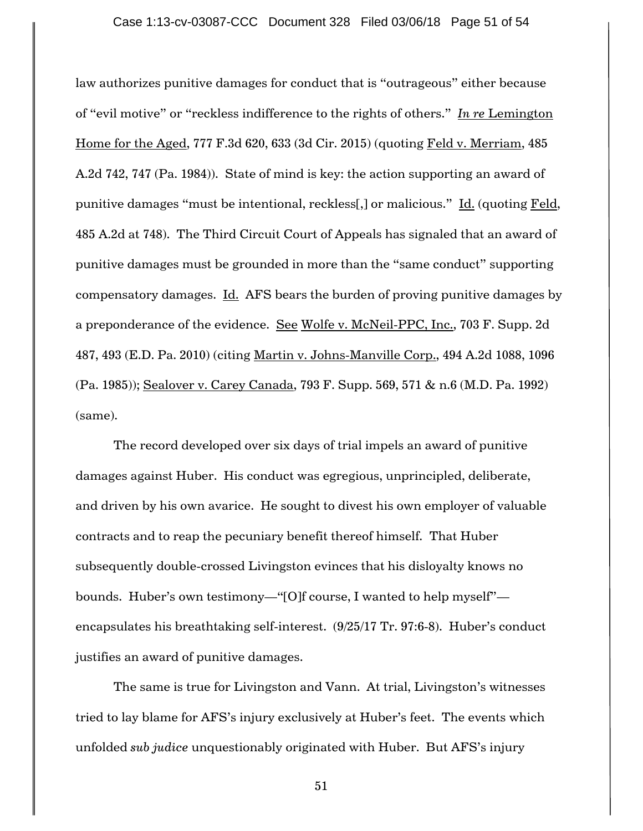law authorizes punitive damages for conduct that is "outrageous" either because of "evil motive" or "reckless indifference to the rights of others." *In re* Lemington Home for the Aged, 777 F.3d 620, 633 (3d Cir. 2015) (quoting Feld v. Merriam, 485 A.2d 742, 747 (Pa. 1984)). State of mind is key: the action supporting an award of punitive damages "must be intentional, reckless[,] or malicious." Id. (quoting Feld, 485 A.2d at 748). The Third Circuit Court of Appeals has signaled that an award of punitive damages must be grounded in more than the "same conduct" supporting compensatory damages. Id. AFS bears the burden of proving punitive damages by a preponderance of the evidence. See Wolfe v. McNeil-PPC, Inc., 703 F. Supp. 2d 487, 493 (E.D. Pa. 2010) (citing Martin v. Johns-Manville Corp., 494 A.2d 1088, 1096 (Pa. 1985)); Sealover v. Carey Canada, 793 F. Supp. 569, 571 & n.6 (M.D. Pa. 1992) (same).

The record developed over six days of trial impels an award of punitive damages against Huber. His conduct was egregious, unprincipled, deliberate, and driven by his own avarice. He sought to divest his own employer of valuable contracts and to reap the pecuniary benefit thereof himself. That Huber subsequently double-crossed Livingston evinces that his disloyalty knows no bounds. Huber's own testimony—"[O]f course, I wanted to help myself" encapsulates his breathtaking self-interest. (9/25/17 Tr. 97:6-8). Huber's conduct justifies an award of punitive damages.

The same is true for Livingston and Vann. At trial, Livingston's witnesses tried to lay blame for AFS"s injury exclusively at Huber"s feet. The events which unfolded *sub judice* unquestionably originated with Huber. But AFS"s injury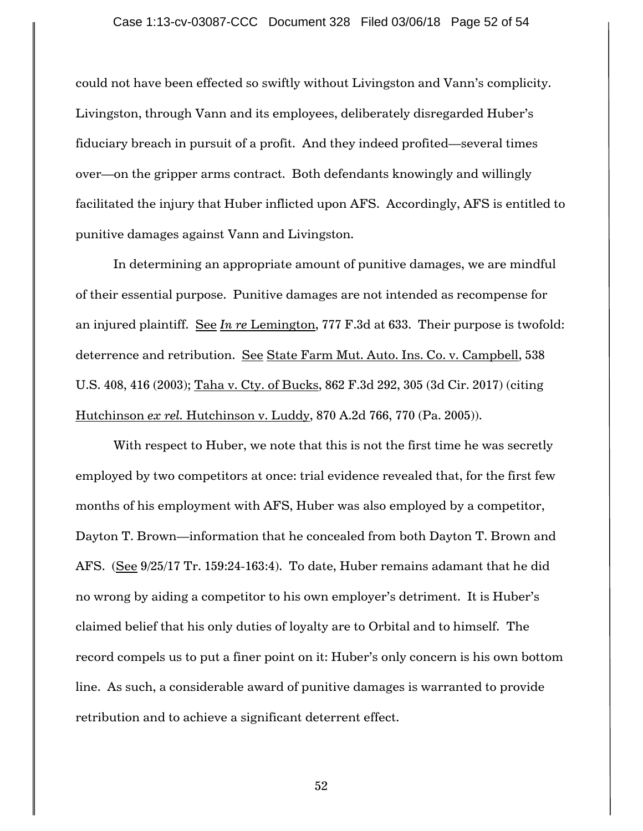could not have been effected so swiftly without Livingston and Vann"s complicity. Livingston, through Vann and its employees, deliberately disregarded Huber"s fiduciary breach in pursuit of a profit. And they indeed profited—several times over—on the gripper arms contract. Both defendants knowingly and willingly facilitated the injury that Huber inflicted upon AFS. Accordingly, AFS is entitled to punitive damages against Vann and Livingston.

In determining an appropriate amount of punitive damages, we are mindful of their essential purpose. Punitive damages are not intended as recompense for an injured plaintiff. See *In re* Lemington, 777 F.3d at 633. Their purpose is twofold: deterrence and retribution. See State Farm Mut. Auto. Ins. Co. v. Campbell, 538 U.S. 408, 416 (2003); Taha v. Cty. of Bucks, 862 F.3d 292, 305 (3d Cir. 2017) (citing Hutchinson *ex rel.* Hutchinson v. Luddy, 870 A.2d 766, 770 (Pa. 2005)).

With respect to Huber, we note that this is not the first time he was secretly employed by two competitors at once: trial evidence revealed that, for the first few months of his employment with AFS, Huber was also employed by a competitor, Dayton T. Brown—information that he concealed from both Dayton T. Brown and AFS. (See 9/25/17 Tr. 159:24-163:4). To date, Huber remains adamant that he did no wrong by aiding a competitor to his own employer's detriment. It is Huber's claimed belief that his only duties of loyalty are to Orbital and to himself. The record compels us to put a finer point on it: Huber's only concern is his own bottom line. As such, a considerable award of punitive damages is warranted to provide retribution and to achieve a significant deterrent effect.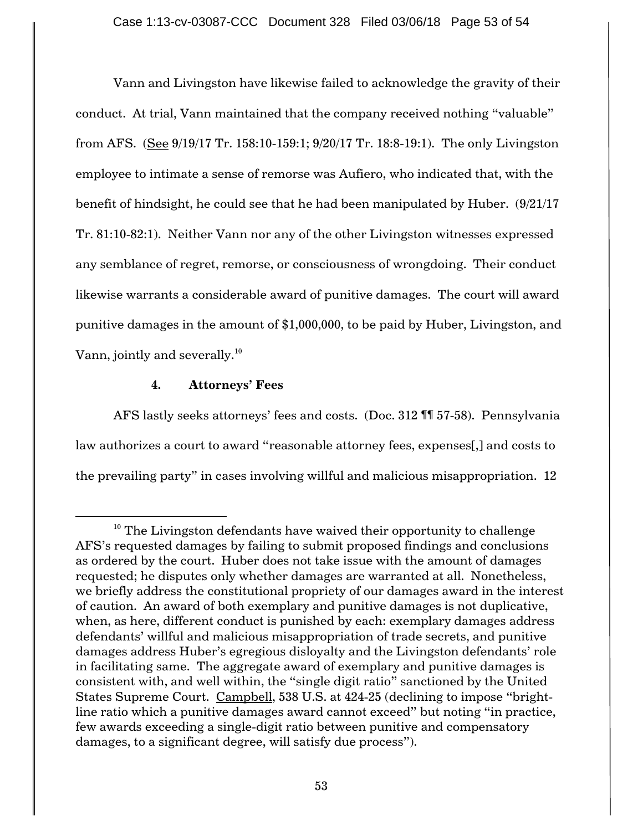Vann and Livingston have likewise failed to acknowledge the gravity of their conduct. At trial, Vann maintained that the company received nothing "valuable" from AFS. (See 9/19/17 Tr. 158:10-159:1; 9/20/17 Tr. 18:8-19:1). The only Livingston employee to intimate a sense of remorse was Aufiero, who indicated that, with the benefit of hindsight, he could see that he had been manipulated by Huber.  $(9/21/17)$ Tr. 81:10-82:1). Neither Vann nor any of the other Livingston witnesses expressed any semblance of regret, remorse, or consciousness of wrongdoing. Their conduct likewise warrants a considerable award of punitive damages. The court will award punitive damages in the amount of \$1,000,000, to be paid by Huber, Livingston, and Vann, jointly and severally. $^{\rm 10}$ 

## **4. Attorneys' Fees**

 $\overline{a}$ 

AFS lastly seeks attorneys" fees and costs. (Doc. 312 ¶¶ 57-58). Pennsylvania law authorizes a court to award "reasonable attorney fees, expenses[,] and costs to the prevailing party" in cases involving willful and malicious misappropriation. 12

 $10$  The Livingston defendants have waived their opportunity to challenge AFS"s requested damages by failing to submit proposed findings and conclusions as ordered by the court. Huber does not take issue with the amount of damages requested; he disputes only whether damages are warranted at all. Nonetheless, we briefly address the constitutional propriety of our damages award in the interest of caution. An award of both exemplary and punitive damages is not duplicative, when, as here, different conduct is punished by each: exemplary damages address defendants' willful and malicious misappropriation of trade secrets, and punitive damages address Huber's egregious disloyalty and the Livingston defendants' role in facilitating same. The aggregate award of exemplary and punitive damages is consistent with, and well within, the "single digit ratio" sanctioned by the United States Supreme Court. Campbell, 538 U.S. at 424-25 (declining to impose "brightline ratio which a punitive damages award cannot exceed" but noting "in practice, few awards exceeding a single-digit ratio between punitive and compensatory damages, to a significant degree, will satisfy due process").